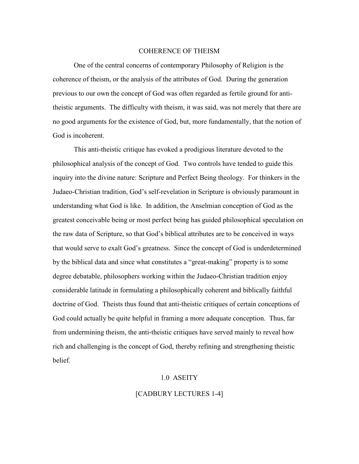#### COHERENCE OF THEISM

One of the central concerns of contemporary Philosophy of Religion is the coherence of theism, or the analysis of the attributes of God. During the generation previous to our own the concept of God was often regarded as fertile ground for antitheistic arguments. The difficulty with theism, it was said, was not merely that there are no good arguments for the existence of God, but, more fundamentally, that the notion of God is incoherent.

 This anti-theistic critique has evoked a prodigious literature devoted to the philosophical analysis of the concept of God. Two controls have tended to guide this inquiry into the divine nature: Scripture and Perfect Being theology. For thinkers in the Judaeo-Christian tradition, God's self-revelation in Scripture is obviously paramount in understanding what God is like. In addition, the Anselmian conception of God as the greatest conceivable being or most perfect being has guided philosophical speculation on the raw data of Scripture, so that God's biblical attributes are to be conceived in ways that would serve to exalt God's greatness. Since the concept of God is underdetermined by the biblical data and since what constitutes a "great-making" property is to some degree debatable, philosophers working within the Judaeo-Christian tradition enjoy considerable latitude in formulating a philosophically coherent and biblically faithful doctrine of God. Theists thus found that anti-theistic critiques of certain conceptions of God could actually be quite helpful in framing a more adequate conception. Thus, far from undermining theism, the anti-theistic critiques have served mainly to reveal how rich and challenging is the concept of God, thereby refining and strengthening theistic belief.

## 1.0 ASEITY

# [CADBURY LECTURES 1-4]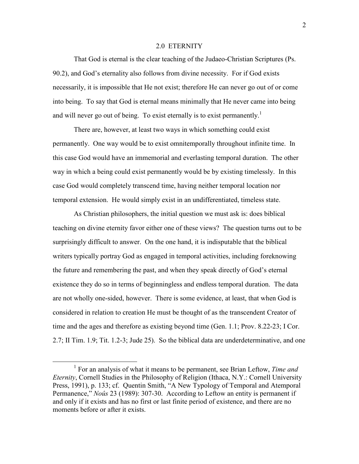### 2.0 ETERNITY

That God is eternal is the clear teaching of the Judaeo-Christian Scriptures (Ps. 90.2), and God's eternality also follows from divine necessity. For if God exists necessarily, it is impossible that He not exist; therefore He can never go out of or come into being. To say that God is eternal means minimally that He never came into being and will never go out of being. To exist eternally is to exist permanently.<sup>1</sup>

There are, however, at least two ways in which something could exist permanently. One way would be to exist omnitemporally throughout infinite time. In this case God would have an immemorial and everlasting temporal duration. The other way in which a being could exist permanently would be by existing timelessly. In this case God would completely transcend time, having neither temporal location nor temporal extension. He would simply exist in an undifferentiated, timeless state.

As Christian philosophers, the initial question we must ask is: does biblical teaching on divine eternity favor either one of these views? The question turns out to be surprisingly difficult to answer. On the one hand, it is indisputable that the biblical writers typically portray God as engaged in temporal activities, including foreknowing the future and remembering the past, and when they speak directly of God's eternal existence they do so in terms of beginningless and endless temporal duration. The data are not wholly one-sided, however. There is some evidence, at least, that when God is considered in relation to creation He must be thought of as the transcendent Creator of time and the ages and therefore as existing beyond time (Gen. 1.1; Prov. 8.22-23; I Cor. 2.7; II Tim. 1.9; Tit. 1.2-3; Jude 25). So the biblical data are underdeterminative, and one

-

<sup>&</sup>lt;sup>1</sup> For an analysis of what it means to be permanent, see Brian Leftow, *Time and Eternity*, Cornell Studies in the Philosophy of Religion (Ithaca, N.Y.: Cornell University Press, 1991), p. 133; cf. Quentin Smith, "A New Typology of Temporal and Atemporal Permanence," *Noûs* 23 (1989): 307-30. According to Leftow an entity is permanent if and only if it exists and has no first or last finite period of existence, and there are no moments before or after it exists.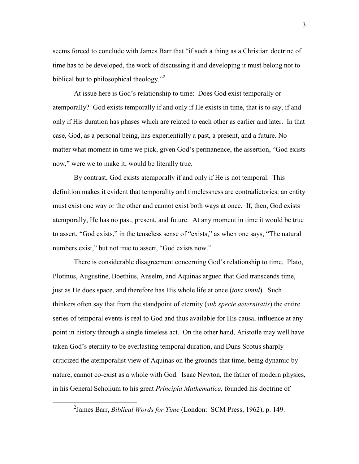seems forced to conclude with James Barr that "if such a thing as a Christian doctrine of time has to be developed, the work of discussing it and developing it must belong not to biblical but to philosophical theology."<sup>2</sup>

At issue here is God's relationship to time: Does God exist temporally or atemporally? God exists temporally if and only if He exists in time, that is to say, if and only if His duration has phases which are related to each other as earlier and later. In that case, God, as a personal being, has experientially a past, a present, and a future. No matter what moment in time we pick, given God's permanence, the assertion, "God exists now," were we to make it, would be literally true.

By contrast, God exists atemporally if and only if He is not temporal. This definition makes it evident that temporality and timelessness are contradictories: an entity must exist one way or the other and cannot exist both ways at once. If, then, God exists atemporally, He has no past, present, and future. At any moment in time it would be true to assert, "God exists," in the tenseless sense of "exists," as when one says, "The natural numbers exist," but not true to assert, "God exists now."

 There is considerable disagreement concerning God's relationship to time. Plato, Plotinus, Augustine, Boethius, Anselm, and Aquinas argued that God transcends time, just as He does space, and therefore has His whole life at once (*tota simul*). Such thinkers often say that from the standpoint of eternity (*sub specie aeternitatis*) the entire series of temporal events is real to God and thus available for His causal influence at any point in history through a single timeless act. On the other hand, Aristotle may well have taken God's eternity to be everlasting temporal duration, and Duns Scotus sharply criticized the atemporalist view of Aquinas on the grounds that time, being dynamic by nature, cannot co-exist as a whole with God. Isaac Newton, the father of modern physics, in his General Scholium to his great *Principia Mathematica,* founded his doctrine of

-

<sup>2</sup> James Barr, *Biblical Words for Time* (London: SCM Press, 1962), p. 149.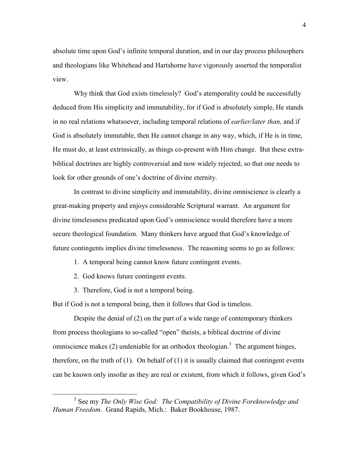absolute time upon God's infinite temporal duration, and in our day process philosophers and theologians like Whitehead and Hartshorne have vigorously asserted the temporalist view.

 Why think that God exists timelessly? God's atemporality could be successfully deduced from His simplicity and immutability, for if God is absolutely simple, He stands in no real relations whatsoever, including temporal relations of *earlier/later than,* and if God is absolutely immutable, then He cannot change in any way, which, if He is in time, He must do, at least extrinsically, as things co-present with Him change. But these extrabiblical doctrines are highly controversial and now widely rejected, so that one needs to look for other grounds of one's doctrine of divine eternity.

In contrast to divine simplicity and immutability, divine omniscience is clearly a great-making property and enjoys considerable Scriptural warrant. An argument for divine timelessness predicated upon God's omniscience would therefore have a more secure theological foundation. Many thinkers have argued that God's knowledge of future contingents implies divine timelessness. The reasoning seems to go as follows:

- 1. A temporal being cannot know future contingent events.
- 2. God knows future contingent events.

 $\overline{a}$ 

3. Therefore, God is not a temporal being.

But if God is not a temporal being, then it follows that God is timeless.

Despite the denial of (2) on the part of a wide range of contemporary thinkers from process theologians to so-called "open" theists, a biblical doctrine of divine omniscience makes  $(2)$  undeniable for an orthodox theologian.<sup>3</sup> The argument hinges, therefore, on the truth of  $(1)$ . On behalf of  $(1)$  it is usually claimed that contingent events can be known only insofar as they are real or existent, from which it follows, given God's

<sup>3</sup> See my *The Only Wise God: The Compatibility of Divine Foreknowledge and Human Freedom.* Grand Rapids, Mich.: Baker Bookhouse, 1987.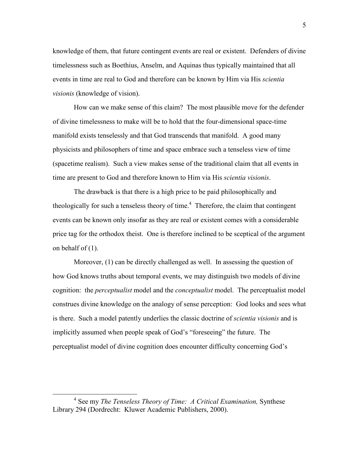knowledge of them, that future contingent events are real or existent. Defenders of divine timelessness such as Boethius, Anselm, and Aquinas thus typically maintained that all events in time are real to God and therefore can be known by Him via His *scientia visionis* (knowledge of vision).

How can we make sense of this claim? The most plausible move for the defender of divine timelessness to make will be to hold that the four-dimensional space-time manifold exists tenselessly and that God transcends that manifold. A good many physicists and philosophers of time and space embrace such a tenseless view of time (spacetime realism). Such a view makes sense of the traditional claim that all events in time are present to God and therefore known to Him via His *scientia visionis*.

The drawback is that there is a high price to be paid philosophically and theologically for such a tenseless theory of time.<sup>4</sup> Therefore, the claim that contingent events can be known only insofar as they are real or existent comes with a considerable price tag for the orthodox theist. One is therefore inclined to be sceptical of the argument on behalf of (1).

Moreover, (1) can be directly challenged as well. In assessing the question of how God knows truths about temporal events, we may distinguish two models of divine cognition: the *perceptualist* model and the *conceptualist* model. The perceptualist model construes divine knowledge on the analogy of sense perception: God looks and sees what is there. Such a model patently underlies the classic doctrine of *scientia visionis* and is implicitly assumed when people speak of God's "foreseeing" the future. The perceptualist model of divine cognition does encounter difficulty concerning God's

-

<sup>4</sup> See my *The Tenseless Theory of Time: A Critical Examination,* Synthese Library 294 (Dordrecht: Kluwer Academic Publishers, 2000).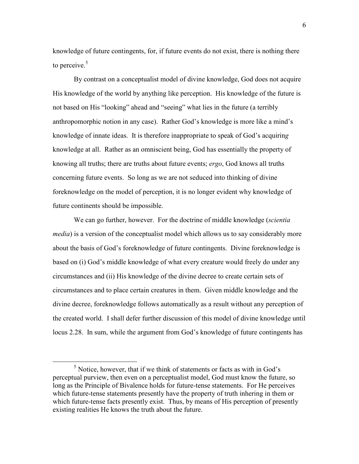knowledge of future contingents, for, if future events do not exist, there is nothing there to perceive. $5$ 

By contrast on a conceptualist model of divine knowledge, God does not acquire His knowledge of the world by anything like perception. His knowledge of the future is not based on His "looking" ahead and "seeing" what lies in the future (a terribly anthropomorphic notion in any case). Rather God's knowledge is more like a mind's knowledge of innate ideas. It is therefore inappropriate to speak of God's acquirin*g* knowledge at all. Rather as an omniscient being, God has essentially the property of knowing all truths; there are truths about future events; *ergo*, God knows all truths concerning future events. So long as we are not seduced into thinking of divine foreknowledge on the model of perception, it is no longer evident why knowledge of future continents should be impossible.

We can go further, however. For the doctrine of middle knowledge (*scientia media*) is a version of the conceptualist model which allows us to say considerably more about the basis of God's foreknowledge of future contingents. Divine foreknowledge is based on (i) God's middle knowledge of what every creature would freely do under any circumstances and (ii) His knowledge of the divine decree to create certain sets of circumstances and to place certain creatures in them. Given middle knowledge and the divine decree, foreknowledge follows automatically as a result without any perception of the created world. I shall defer further discussion of this model of divine knowledge until locus 2.28. In sum, while the argument from God's knowledge of future contingents has

-

 $<sup>5</sup>$  Notice, however, that if we think of statements or facts as with in God's</sup> perceptual purview, then even on a perceptualist model, God must know the future, so long as the Principle of Bivalence holds for future-tense statements. For He perceives which future-tense statements presently have the property of truth inhering in them or which future-tense facts presently exist. Thus, by means of His perception of presently existing realities He knows the truth about the future.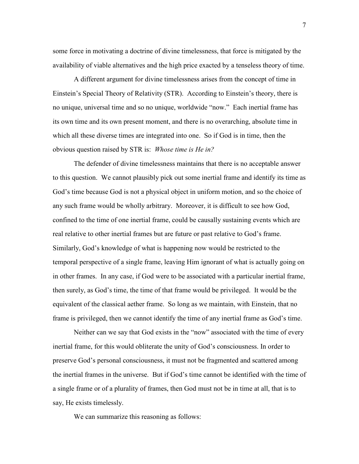some force in motivating a doctrine of divine timelessness, that force is mitigated by the availability of viable alternatives and the high price exacted by a tenseless theory of time.

A different argument for divine timelessness arises from the concept of time in Einstein's Special Theory of Relativity (STR). According to Einstein's theory, there is no unique, universal time and so no unique, worldwide "now." Each inertial frame has its own time and its own present moment, and there is no overarching, absolute time in which all these diverse times are integrated into one. So if God is in time, then the obvious question raised by STR is: *Whose time is He in?*

The defender of divine timelessness maintains that there is no acceptable answer to this question. We cannot plausibly pick out some inertial frame and identify its time as God's time because God is not a physical object in uniform motion, and so the choice of any such frame would be wholly arbitrary. Moreover, it is difficult to see how God, confined to the time of one inertial frame, could be causally sustaining events which are real relative to other inertial frames but are future or past relative to God's frame. Similarly, God's knowledge of what is happening now would be restricted to the temporal perspective of a single frame, leaving Him ignorant of what is actually going on in other frames. In any case, if God were to be associated with a particular inertial frame, then surely, as God's time, the time of that frame would be privileged. It would be the equivalent of the classical aether frame. So long as we maintain, with Einstein, that no frame is privileged, then we cannot identify the time of any inertial frame as God's time.

 Neither can we say that God exists in the "now" associated with the time of every inertial frame, for this would obliterate the unity of God's consciousness. In order to preserve God's personal consciousness, it must not be fragmented and scattered among the inertial frames in the universe. But if God's time cannot be identified with the time of a single frame or of a plurality of frames, then God must not be in time at all, that is to say, He exists timelessly.

We can summarize this reasoning as follows: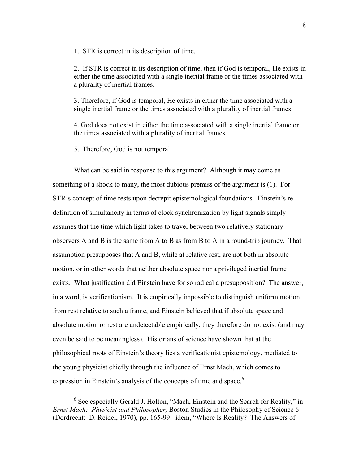1. STR is correct in its description of time.

2. If STR is correct in its description of time, then if God is temporal, He exists in either the time associated with a single inertial frame or the times associated with a plurality of inertial frames.

3. Therefore, if God is temporal, He exists in either the time associated with a single inertial frame or the times associated with a plurality of inertial frames.

4. God does not exist in either the time associated with a single inertial frame or the times associated with a plurality of inertial frames.

5. Therefore, God is not temporal.

-

What can be said in response to this argument? Although it may come as something of a shock to many, the most dubious premiss of the argument is (1). For STR's concept of time rests upon decrepit epistemological foundations. Einstein's redefinition of simultaneity in terms of clock synchronization by light signals simply assumes that the time which light takes to travel between two relatively stationary observers A and B is the same from A to B as from B to A in a round-trip journey. That assumption presupposes that A and B, while at relative rest, are not both in absolute motion, or in other words that neither absolute space nor a privileged inertial frame exists. What justification did Einstein have for so radical a presupposition? The answer, in a word, is verificationism. It is empirically impossible to distinguish uniform motion from rest relative to such a frame, and Einstein believed that if absolute space and absolute motion or rest are undetectable empirically, they therefore do not exist (and may even be said to be meaningless). Historians of science have shown that at the philosophical roots of Einstein's theory lies a verificationist epistemology, mediated to the young physicist chiefly through the influence of Ernst Mach, which comes to expression in Einstein's analysis of the concepts of time and space.<sup>6</sup>

<sup>&</sup>lt;sup>6</sup> See especially Gerald J. Holton, "Mach, Einstein and the Search for Reality," in *Ernst Mach: Physicist and Philosopher,* Boston Studies in the Philosophy of Science 6 (Dordrecht: D. Reidel, 1970), pp. 165-99: idem, "Where Is Reality? The Answers of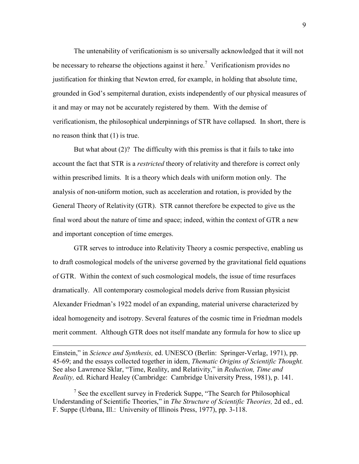The untenability of verificationism is so universally acknowledged that it will not be necessary to rehearse the objections against it here.<sup>7</sup> Verificationism provides no justification for thinking that Newton erred, for example, in holding that absolute time, grounded in God's sempiternal duration, exists independently of our physical measures of it and may or may not be accurately registered by them. With the demise of verificationism, the philosophical underpinnings of STR have collapsed. In short, there is no reason think that (1) is true.

But what about (2)? The difficulty with this premiss is that it fails to take into account the fact that STR is a *restricted* theory of relativity and therefore is correct only within prescribed limits. It is a theory which deals with uniform motion only. The analysis of non-uniform motion, such as acceleration and rotation, is provided by the General Theory of Relativity (GTR). STR cannot therefore be expected to give us the final word about the nature of time and space; indeed, within the context of GTR a new and important conception of time emerges.

GTR serves to introduce into Relativity Theory a cosmic perspective, enabling us to draft cosmological models of the universe governed by the gravitational field equations of GTR. Within the context of such cosmological models, the issue of time resurfaces dramatically. All contemporary cosmological models derive from Russian physicist Alexander Friedman's 1922 model of an expanding, material universe characterized by ideal homogeneity and isotropy. Several features of the cosmic time in Friedman models merit comment. Although GTR does not itself mandate any formula for how to slice up

Einstein," in *Science and Synthesis,* ed. UNESCO (Berlin: Springer-Verlag, 1971), pp. 45-69; and the essays collected together in idem, *Thematic Origins of Scientific Thought.* See also Lawrence Sklar, "Time, Reality, and Relativity," in *Reduction, Time and Reality,* ed. Richard Healey (Cambridge: Cambridge University Press, 1981), p. 141.

 $\overline{a}$ 

 $7$  See the excellent survey in Frederick Suppe, "The Search for Philosophical Understanding of Scientific Theories," in *The Structure of Scientific Theories,* 2d ed., ed. F. Suppe (Urbana, Ill.: University of Illinois Press, 1977), pp. 3-118.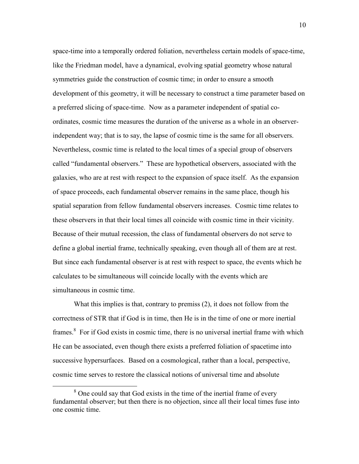space-time into a temporally ordered foliation, nevertheless certain models of space-time, like the Friedman model, have a dynamical, evolving spatial geometry whose natural symmetries guide the construction of cosmic time; in order to ensure a smooth development of this geometry, it will be necessary to construct a time parameter based on a preferred slicing of space-time. Now as a parameter independent of spatial coordinates, cosmic time measures the duration of the universe as a whole in an observerindependent way; that is to say, the lapse of cosmic time is the same for all observers. Nevertheless, cosmic time is related to the local times of a special group of observers called "fundamental observers." These are hypothetical observers, associated with the galaxies, who are at rest with respect to the expansion of space itself. As the expansion of space proceeds, each fundamental observer remains in the same place, though his spatial separation from fellow fundamental observers increases. Cosmic time relates to these observers in that their local times all coincide with cosmic time in their vicinity. Because of their mutual recession, the class of fundamental observers do not serve to define a global inertial frame, technically speaking, even though all of them are at rest. But since each fundamental observer is at rest with respect to space, the events which he calculates to be simultaneous will coincide locally with the events which are simultaneous in cosmic time.

What this implies is that, contrary to premiss (2), it does not follow from the correctness of STR that if God is in time, then He is in the time of one or more inertial frames.<sup>8</sup> For if God exists in cosmic time, there is no universal inertial frame with which He can be associated, even though there exists a preferred foliation of spacetime into successive hypersurfaces. Based on a cosmological, rather than a local, perspective, cosmic time serves to restore the classical notions of universal time and absolute

-

10

<sup>&</sup>lt;sup>8</sup> One could say that God exists in the time of the inertial frame of every fundamental observer; but then there is no objection, since all their local times fuse into one cosmic time.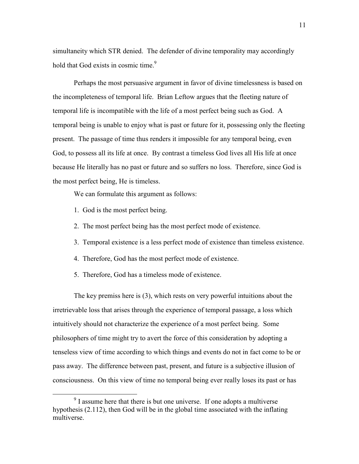simultaneity which STR denied. The defender of divine temporality may accordingly hold that God exists in cosmic time.<sup>9</sup>

Perhaps the most persuasive argument in favor of divine timelessness is based on the incompleteness of temporal life. Brian Leftow argues that the fleeting nature of temporal life is incompatible with the life of a most perfect being such as God. A temporal being is unable to enjoy what is past or future for it, possessing only the fleeting present. The passage of time thus renders it impossible for any temporal being, even God, to possess all its life at once. By contrast a timeless God lives all His life at once because He literally has no past or future and so suffers no loss. Therefore, since God is the most perfect being, He is timeless.

We can formulate this argument as follows:

1. God is the most perfect being.

-

- 2. The most perfect being has the most perfect mode of existence.
- 3. Temporal existence is a less perfect mode of existence than timeless existence.
- 4. Therefore, God has the most perfect mode of existence.
- 5. Therefore, God has a timeless mode of existence.

The key premiss here is (3), which rests on very powerful intuitions about the irretrievable loss that arises through the experience of temporal passage, a loss which intuitively should not characterize the experience of a most perfect being. Some philosophers of time might try to avert the force of this consideration by adopting a tenseless view of time according to which things and events do not in fact come to be or pass away. The difference between past, present, and future is a subjective illusion of consciousness. On this view of time no temporal being ever really loses its past or has

 $9<sup>9</sup>$  I assume here that there is but one universe. If one adopts a multiverse hypothesis (2.112), then God will be in the global time associated with the inflating multiverse.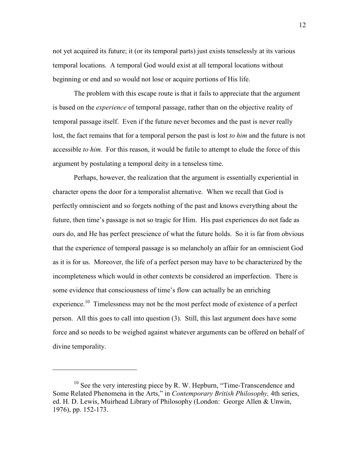not yet acquired its future; it (or its temporal parts) just exists tenselessly at its various temporal locations. A temporal God would exist at all temporal locations without beginning or end and so would not lose or acquire portions of His life.

The problem with this escape route is that it fails to appreciate that the argument is based on the *experience* of temporal passage, rather than on the objective reality of temporal passage itself. Even if the future never becomes and the past is never really lost, the fact remains that for a temporal person the past is lost *to him* and the future is not accessible *to him.* For this reason, it would be futile to attempt to elude the force of this argument by postulating a temporal deity in a tenseless time.

Perhaps, however, the realization that the argument is essentially experiential in character opens the door for a temporalist alternative. When we recall that God is perfectly omniscient and so forgets nothing of the past and knows everything about the future, then time's passage is not so tragic for Him. His past experiences do not fade as ours do, and He has perfect prescience of what the future holds. So it is far from obvious that the experience of temporal passage is so melancholy an affair for an omniscient God as it is for us. Moreover, the life of a perfect person may have to be characterized by the incompleteness which would in other contexts be considered an imperfection. There is some evidence that consciousness of time's flow can actually be an enriching experience.<sup>10</sup> Timelessness may not be the most perfect mode of existence of a perfect person. All this goes to call into question (3). Still, this last argument does have some force and so needs to be weighed against whatever arguments can be offered on behalf of divine temporality.

<u>.</u>

 $10$  See the very interesting piece by R. W. Hepburn, "Time-Transcendence and Some Related Phenomena in the Arts," in *Contemporary British Philosophy,* 4th series, ed. H. D. Lewis, Muirhead Library of Philosophy (London: George Allen & Unwin, 1976), pp. 152-173.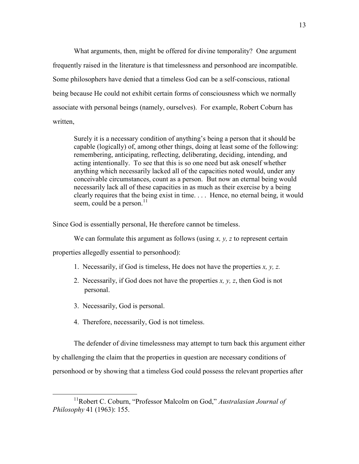What arguments, then, might be offered for divine temporality? One argument frequently raised in the literature is that timelessness and personhood are incompatible. Some philosophers have denied that a timeless God can be a self-conscious, rational being because He could not exhibit certain forms of consciousness which we normally associate with personal beings (namely, ourselves). For example, Robert Coburn has written,

Surely it is a necessary condition of anything's being a person that it should be capable (logically) of, among other things, doing at least some of the following: remembering, anticipating, reflecting, deliberating, deciding, intending, and acting intentionally. To see that this is so one need but ask oneself whether anything which necessarily lacked all of the capacities noted would, under any conceivable circumstances, count as a person. But now an eternal being would necessarily lack all of these capacities in as much as their exercise by a being clearly requires that the being exist in time. . . . Hence, no eternal being, it would seem, could be a person. $11$ 

Since God is essentially personal, He therefore cannot be timeless.

We can formulate this argument as follows (using *x*, *y*, *z* to represent certain

properties allegedly essential to personhood):

- 1. Necessarily, if God is timeless, He does not have the properties *x, y, z.*
- 2. Necessarily, if God does not have the properties *x, y, z*, then God is not personal.
- 3. Necessarily, God is personal.

-

4. Therefore, necessarily, God is not timeless.

The defender of divine timelessness may attempt to turn back this argument either by challenging the claim that the properties in question are necessary conditions of personhood or by showing that a timeless God could possess the relevant properties after

<sup>11</sup>Robert C. Coburn, "Professor Malcolm on God," *Australasian Journal of Philosophy* 41 (1963): 155.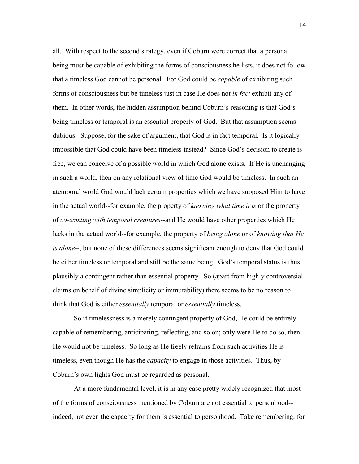all. With respect to the second strategy, even if Coburn were correct that a personal being must be capable of exhibiting the forms of consciousness he lists, it does not follow that a timeless God cannot be personal. For God could be *capable* of exhibiting such forms of consciousness but be timeless just in case He does not *in fact* exhibit any of them. In other words, the hidden assumption behind Coburn's reasoning is that God's being timeless or temporal is an essential property of God. But that assumption seems dubious. Suppose, for the sake of argument, that God is in fact temporal. Is it logically impossible that God could have been timeless instead? Since God's decision to create is free, we can conceive of a possible world in which God alone exists. If He is unchanging in such a world, then on any relational view of time God would be timeless. In such an atemporal world God would lack certain properties which we have supposed Him to have in the actual world--for example, the property of *knowing what time it is* or the property of *co-existing with temporal creatures*--and He would have other properties which He lacks in the actual world--for example, the property of *being alone* or of *knowing that He is alone--*, but none of these differences seems significant enough to deny that God could be either timeless or temporal and still be the same being. God's temporal status is thus plausibly a contingent rather than essential property. So (apart from highly controversial claims on behalf of divine simplicity or immutability) there seems to be no reason to think that God is either *essentially* temporal or *essentially* timeless.

So if timelessness is a merely contingent property of God, He could be entirely capable of remembering, anticipating, reflecting, and so on; only were He to do so, then He would not be timeless. So long as He freely refrains from such activities He is timeless, even though He has the *capacity* to engage in those activities. Thus, by Coburn's own lights God must be regarded as personal.

At a more fundamental level, it is in any case pretty widely recognized that most of the forms of consciousness mentioned by Coburn are not essential to personhood- indeed, not even the capacity for them is essential to personhood. Take remembering, for

14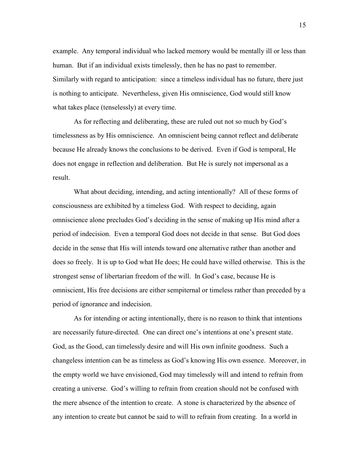example. Any temporal individual who lacked memory would be mentally ill or less than human. But if an individual exists timelessly, then he has no past to remember. Similarly with regard to anticipation: since a timeless individual has no future, there just is nothing to anticipate. Nevertheless, given His omniscience, God would still know what takes place (tenselessly) at every time.

As for reflecting and deliberating, these are ruled out not so much by God's timelessness as by His omniscience. An omniscient being cannot reflect and deliberate because He already knows the conclusions to be derived. Even if God is temporal, He does not engage in reflection and deliberation. But He is surely not impersonal as a result.

What about deciding, intending, and acting intentionally? All of these forms of consciousness are exhibited by a timeless God. With respect to deciding, again omniscience alone precludes God's deciding in the sense of making up His mind after a period of indecision. Even a temporal God does not decide in that sense. But God does decide in the sense that His will intends toward one alternative rather than another and does so freely. It is up to God what He does; He could have willed otherwise. This is the strongest sense of libertarian freedom of the will. In God's case, because He is omniscient, His free decisions are either sempiternal or timeless rather than preceded by a period of ignorance and indecision.

As for intending or acting intentionally, there is no reason to think that intentions are necessarily future-directed. One can direct one's intentions at one's present state. God, as the Good, can timelessly desire and will His own infinite goodness. Such a changeless intention can be as timeless as God's knowing His own essence. Moreover, in the empty world we have envisioned, God may timelessly will and intend to refrain from creating a universe. God's willing to refrain from creation should not be confused with the mere absence of the intention to create. A stone is characterized by the absence of any intention to create but cannot be said to will to refrain from creating. In a world in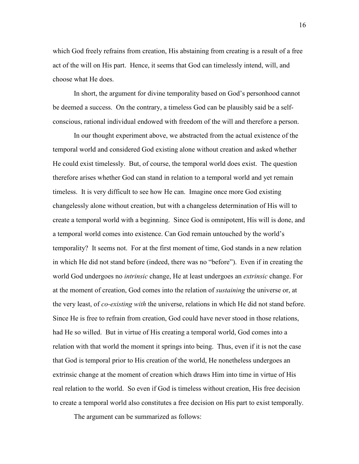which God freely refrains from creation, His abstaining from creating is a result of a free act of the will on His part. Hence, it seems that God can timelessly intend, will, and choose what He does.

In short, the argument for divine temporality based on God's personhood cannot be deemed a success. On the contrary, a timeless God can be plausibly said be a selfconscious, rational individual endowed with freedom of the will and therefore a person.

In our thought experiment above, we abstracted from the actual existence of the temporal world and considered God existing alone without creation and asked whether He could exist timelessly. But, of course, the temporal world does exist. The question therefore arises whether God can stand in relation to a temporal world and yet remain timeless. It is very difficult to see how He can. Imagine once more God existing changelessly alone without creation, but with a changeless determination of His will to create a temporal world with a beginning. Since God is omnipotent, His will is done, and a temporal world comes into existence. Can God remain untouched by the world's temporality? It seems not. For at the first moment of time, God stands in a new relation in which He did not stand before (indeed, there was no "before"). Even if in creating the world God undergoes no *intrinsic* change, He at least undergoes an *extrinsic* change. For at the moment of creation, God comes into the relation of *sustaining* the universe or, at the very least, of *co-existing with* the universe, relations in which He did not stand before. Since He is free to refrain from creation, God could have never stood in those relations, had He so willed. But in virtue of His creating a temporal world, God comes into a relation with that world the moment it springs into being. Thus, even if it is not the case that God is temporal prior to His creation of the world, He nonetheless undergoes an extrinsic change at the moment of creation which draws Him into time in virtue of His real relation to the world. So even if God is timeless without creation, His free decision to create a temporal world also constitutes a free decision on His part to exist temporally.

The argument can be summarized as follows: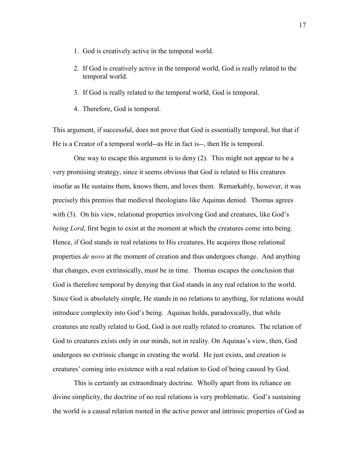- 1. God is creatively active in the temporal world.
- 2. If God is creatively active in the temporal world, God is really related to the temporal world.
- 3. If God is really related to the temporal world, God is temporal.
- 4. Therefore, God is temporal.

This argument, if successful, does not prove that God is essentially temporal, but that if He is a Creator of a temporal world--as He in fact is--, then He is temporal.

One way to escape this argument is to deny (2). This might not appear to be a very promising strategy, since it seems obvious that God is related to His creatures insofar as He sustains them, knows them, and loves them. Remarkably, however, it was precisely this premiss that medieval theologians like Aquinas denied. Thomas agrees with (3). On his view, relational properties involving God and creatures, like God's *being Lord*, first begin to exist at the moment at which the creatures come into being. Hence, if God stands in real relations to His creatures, He acquires those relational properties *de novo* at the moment of creation and thus undergoes change. And anything that changes, even extrinsically, must be in time. Thomas escapes the conclusion that God is therefore temporal by denying that God stands in any real relation to the world. Since God is absolutely simple, He stands in no relations to anything, for relations would introduce complexity into God's being. Aquinas holds, paradoxically, that while creatures are really related to God, God is not really related to creatures. The relation of God to creatures exists only in our minds, not in reality. On Aquinas's view, then, God undergoes no extrinsic change in creating the world. He just exists, and creation is creatures' coming into existence with a real relation to God of being caused by God.

This is certainly an extraordinary doctrine. Wholly apart from its reliance on divine simplicity, the doctrine of no real relations is very problematic. God's sustaining the world is a causal relation rooted in the active power and intrinsic properties of God as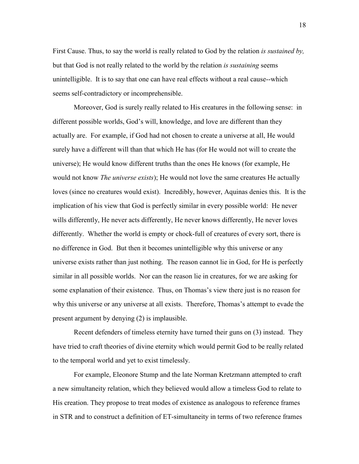First Cause. Thus, to say the world is really related to God by the relation *is sustained by,*  but that God is not really related to the world by the relation *is sustaining* seems unintelligible. It is to say that one can have real effects without a real cause--which seems self-contradictory or incomprehensible.

Moreover, God is surely really related to His creatures in the following sense: in different possible worlds, God's will, knowledge, and love are different than they actually are. For example, if God had not chosen to create a universe at all, He would surely have a different will than that which He has (for He would not will to create the universe); He would know different truths than the ones He knows (for example, He would not know *The universe exists*); He would not love the same creatures He actually loves (since no creatures would exist). Incredibly, however, Aquinas denies this. It is the implication of his view that God is perfectly similar in every possible world: He never wills differently, He never acts differently, He never knows differently, He never loves differently. Whether the world is empty or chock-full of creatures of every sort, there is no difference in God. But then it becomes unintelligible why this universe or any universe exists rather than just nothing. The reason cannot lie in God, for He is perfectly similar in all possible worlds. Nor can the reason lie in creatures, for we are asking for some explanation of their existence. Thus, on Thomas's view there just is no reason for why this universe or any universe at all exists. Therefore, Thomas's attempt to evade the present argument by denying (2) is implausible.

Recent defenders of timeless eternity have turned their guns on (3) instead. They have tried to craft theories of divine eternity which would permit God to be really related to the temporal world and yet to exist timelessly.

For example, Eleonore Stump and the late Norman Kretzmann attempted to craft a new simultaneity relation, which they believed would allow a timeless God to relate to His creation. They propose to treat modes of existence as analogous to reference frames in STR and to construct a definition of ET-simultaneity in terms of two reference frames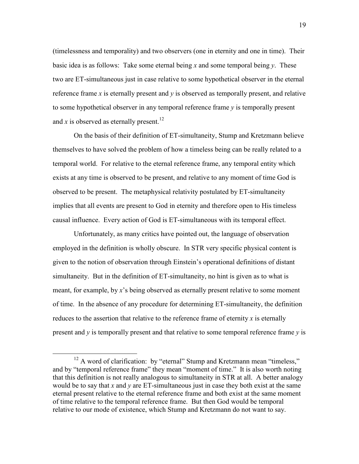(timelessness and temporality) and two observers (one in eternity and one in time). Their basic idea is as follows: Take some eternal being *x* and some temporal being *y*. These two are ET-simultaneous just in case relative to some hypothetical observer in the eternal reference frame *x* is eternally present and *y* is observed as temporally present, and relative to some hypothetical observer in any temporal reference frame *y* is temporally present and  $x$  is observed as eternally present.<sup>12</sup>

On the basis of their definition of ET-simultaneity, Stump and Kretzmann believe themselves to have solved the problem of how a timeless being can be really related to a temporal world. For relative to the eternal reference frame, any temporal entity which exists at any time is observed to be present, and relative to any moment of time God is observed to be present. The metaphysical relativity postulated by ET-simultaneity implies that all events are present to God in eternity and therefore open to His timeless causal influence. Every action of God is ET-simultaneous with its temporal effect.

 Unfortunately, as many critics have pointed out, the language of observation employed in the definition is wholly obscure. In STR very specific physical content is given to the notion of observation through Einstein's operational definitions of distant simultaneity. But in the definition of ET-simultaneity, no hint is given as to what is meant, for example, by *x*'s being observed as eternally present relative to some moment of time. In the absence of any procedure for determining ET-simultaneity, the definition reduces to the assertion that relative to the reference frame of eternity *x* is eternally present and *y* is temporally present and that relative to some temporal reference frame *y* is

 $\overline{a}$ 

<sup>&</sup>lt;sup>12</sup> A word of clarification: by "eternal" Stump and Kretzmann mean "timeless," and by "temporal reference frame" they mean "moment of time." It is also worth noting that this definition is not really analogous to simultaneity in STR at all. A better analogy would be to say that *x* and *y* are ET-simultaneous just in case they both exist at the same eternal present relative to the eternal reference frame and both exist at the same moment of time relative to the temporal reference frame. But then God would be temporal relative to our mode of existence, which Stump and Kretzmann do not want to say.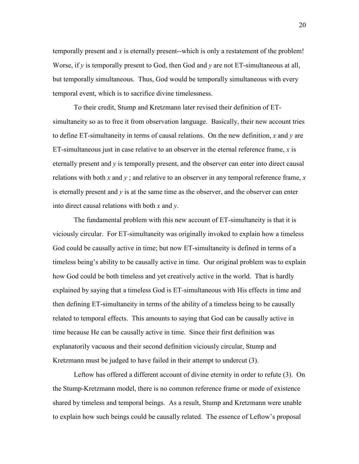temporally present and *x* is eternally present--which is only a restatement of the problem! Worse, if *y* is temporally present to God, then God and *y* are not ET-simultaneous at all, but temporally simultaneous. Thus, God would be temporally simultaneous with every temporal event, which is to sacrifice divine timelessness.

To their credit, Stump and Kretzmann later revised their definition of ETsimultaneity so as to free it from observation language. Basically, their new account tries to define ET-simultaneity in terms of causal relations. On the new definition, *x* and *y* are ET-simultaneous just in case relative to an observer in the eternal reference frame, *x* is eternally present and *y* is temporally present, and the observer can enter into direct causal relations with both x and  $y$ ; and relative to an observer in any temporal reference frame, x is eternally present and *y* is at the same time as the observer, and the observer can enter into direct causal relations with both *x* and *y*.

The fundamental problem with this new account of ET-simultaneity is that it is viciously circular. For ET-simultaneity was originally invoked to explain how a timeless God could be causally active in time; but now ET-simultaneity is defined in terms of a timeless being's ability to be causally active in time. Our original problem was to explain how God could be both timeless and yet creatively active in the world. That is hardly explained by saying that a timeless God is ET-simultaneous with His effects in time and then defining ET-simultaneity in terms of the ability of a timeless being to be causally related to temporal effects. This amounts to saying that God can be causally active in time because He can be causally active in time. Since their first definition was explanatorily vacuous and their second definition viciously circular, Stump and Kretzmann must be judged to have failed in their attempt to undercut (3).

Leftow has offered a different account of divine eternity in order to refute (3). On the Stump-Kretzmann model, there is no common reference frame or mode of existence shared by timeless and temporal beings. As a result, Stump and Kretzmann were unable to explain how such beings could be causally related. The essence of Leftow's proposal

20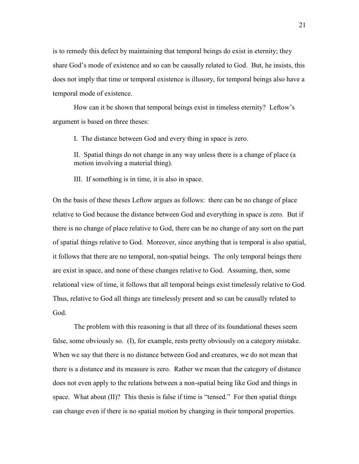is to remedy this defect by maintaining that temporal beings do exist in eternity; they share God's mode of existence and so can be causally related to God. But, he insists, this does not imply that time or temporal existence is illusory, for temporal beings also have a temporal mode of existence.

How can it be shown that temporal beings exist in timeless eternity? Leftow's argument is based on three theses:

I. The distance between God and every thing in space is zero.

II. Spatial things do not change in any way unless there is a change of place (a motion involving a material thing).

III. If something is in time, it is also in space.

On the basis of these theses Leftow argues as follows: there can be no change of place relative to God because the distance between God and everything in space is zero. But if there is no change of place relative to God, there can be no change of any sort on the part of spatial things relative to God. Moreover, since anything that is temporal is also spatial, it follows that there are no temporal, non-spatial beings. The only temporal beings there are exist in space, and none of these changes relative to God. Assuming, then, some relational view of time, it follows that all temporal beings exist timelessly relative to God. Thus, relative to God all things are timelessly present and so can be causally related to God.

 The problem with this reasoning is that all three of its foundational theses seem false, some obviously so. (I), for example, rests pretty obviously on a category mistake. When we say that there is no distance between God and creatures, we do not mean that there is a distance and its measure is zero. Rather we mean that the category of distance does not even apply to the relations between a non-spatial being like God and things in space. What about (II)? This thesis is false if time is "tensed." For then spatial things can change even if there is no spatial motion by changing in their temporal properties.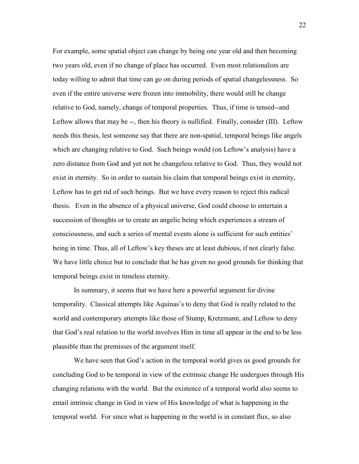For example, some spatial object can change by being one year old and then becoming two years old, even if no change of place has occurred. Even most relationalists are today willing to admit that time can go on during periods of spatial changelessness. So even if the entire universe were frozen into immobility, there would still be change relative to God, namely, change of temporal properties. Thus, if time is tensed--and Leftow allows that may be --, then his theory is nullified. Finally, consider (III). Leftow needs this thesis, lest someone say that there are non-spatial, temporal beings like angels which are changing relative to God. Such beings would (on Leftow's analysis) have a zero distance from God and yet not be changeless relative to God. Thus, they would not exist in eternity. So in order to sustain his claim that temporal beings exist in eternity, Leftow has to get rid of such beings. But we have every reason to reject this radical thesis. Even in the absence of a physical universe, God could choose to entertain a succession of thoughts or to create an angelic being which experiences a stream of consciousness, and such a series of mental events alone is sufficient for such entities' being in time. Thus, all of Leftow's key theses are at least dubious, if not clearly false. We have little choice but to conclude that he has given no good grounds for thinking that temporal beings exist in timeless eternity.

In summary, it seems that we have here a powerful argument for divine temporality. Classical attempts like Aquinas's to deny that God is really related to the world and contemporary attempts like those of Stump, Kretzmann, and Leftow to deny that God's real relation to the world involves Him in time all appear in the end to be less plausible than the premisses of the argument itself.

We have seen that God's action in the temporal world gives us good grounds for concluding God to be temporal in view of the extrinsic change He undergoes through His changing relations with the world. But the existence of a temporal world also seems to entail intrinsic change in God in view of His knowledge of what is happening in the temporal world. For since what is happening in the world is in constant flux, so also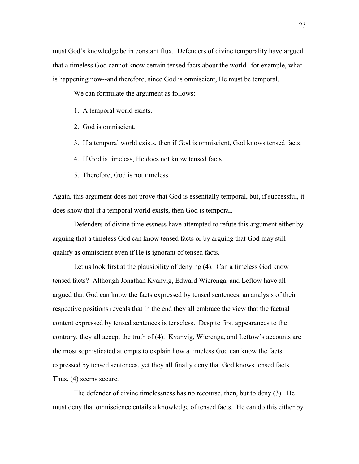must God's knowledge be in constant flux. Defenders of divine temporality have argued that a timeless God cannot know certain tensed facts about the world--for example, what is happening now--and therefore, since God is omniscient, He must be temporal.

We can formulate the argument as follows:

- 1. A temporal world exists.
- 2. God is omniscient.
- 3. If a temporal world exists, then if God is omniscient, God knows tensed facts.
- 4. If God is timeless, He does not know tensed facts.
- 5. Therefore, God is not timeless.

Again, this argument does not prove that God is essentially temporal, but, if successful, it does show that if a temporal world exists, then God is temporal.

 Defenders of divine timelessness have attempted to refute this argument either by arguing that a timeless God can know tensed facts or by arguing that God may still qualify as omniscient even if He is ignorant of tensed facts.

 Let us look first at the plausibility of denying (4). Can a timeless God know tensed facts? Although Jonathan Kvanvig, Edward Wierenga, and Leftow have all argued that God can know the facts expressed by tensed sentences, an analysis of their respective positions reveals that in the end they all embrace the view that the factual content expressed by tensed sentences is tenseless. Despite first appearances to the contrary, they all accept the truth of (4). Kvanvig, Wierenga, and Leftow's accounts are the most sophisticated attempts to explain how a timeless God can know the facts expressed by tensed sentences, yet they all finally deny that God knows tensed facts. Thus, (4) seems secure.

 The defender of divine timelessness has no recourse, then, but to deny (3). He must deny that omniscience entails a knowledge of tensed facts. He can do this either by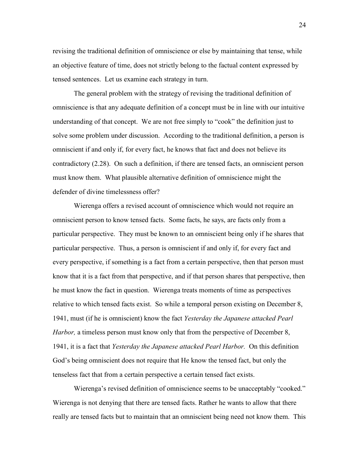revising the traditional definition of omniscience or else by maintaining that tense, while an objective feature of time, does not strictly belong to the factual content expressed by tensed sentences. Let us examine each strategy in turn.

 The general problem with the strategy of revising the traditional definition of omniscience is that any adequate definition of a concept must be in line with our intuitive understanding of that concept. We are not free simply to "cook" the definition just to solve some problem under discussion. According to the traditional definition, a person is omniscient if and only if, for every fact, he knows that fact and does not believe its contradictory (2.28). On such a definition, if there are tensed facts, an omniscient person must know them. What plausible alternative definition of omniscience might the defender of divine timelessness offer?

 Wierenga offers a revised account of omniscience which would not require an omniscient person to know tensed facts. Some facts, he says, are facts only from a particular perspective. They must be known to an omniscient being only if he shares that particular perspective. Thus, a person is omniscient if and only if, for every fact and every perspective, if something is a fact from a certain perspective, then that person must know that it is a fact from that perspective, and if that person shares that perspective, then he must know the fact in question. Wierenga treats moments of time as perspectives relative to which tensed facts exist. So while a temporal person existing on December 8, 1941, must (if he is omniscient) know the fact *Yesterday the Japanese attacked Pearl Harbor*, a timeless person must know only that from the perspective of December 8, 1941, it is a fact that *Yesterday the Japanese attacked Pearl Harbor.* On this definition God's being omniscient does not require that He know the tensed fact, but only the tenseless fact that from a certain perspective a certain tensed fact exists.

 Wierenga's revised definition of omniscience seems to be unacceptably "cooked." Wierenga is not denying that there are tensed facts. Rather he wants to allow that there really are tensed facts but to maintain that an omniscient being need not know them. This

24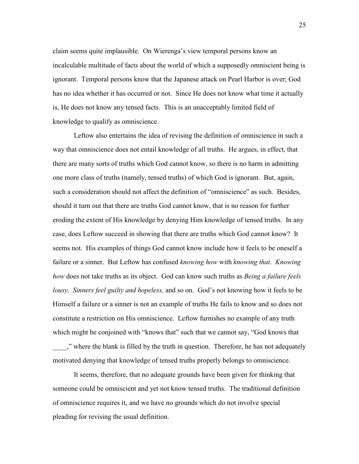claim seems quite implausible. On Wierenga's view temporal persons know an incalculable multitude of facts about the world of which a supposedly omniscient being is ignorant. Temporal persons know that the Japanese attack on Pearl Harbor is over; God has no idea whether it has occurred or not. Since He does not know what time it actually is, He does not know any tensed facts. This is an unacceptably limited field of knowledge to qualify as omniscience.

 Leftow also entertains the idea of revising the definition of omniscience in such a way that omniscience does not entail knowledge of all truths. He argues, in effect, that there are many sorts of truths which God cannot know, so there is no harm in admitting one more class of truths (namely, tensed truths) of which God is ignorant. But, again, such a consideration should not affect the definition of "omniscience" as such. Besides, should it turn out that there are truths God cannot know, that is no reason for further eroding the extent of His knowledge by denying Him knowledge of tensed truths. In any case, does Leftow succeed in showing that there are truths which God cannot know? It seems not. His examples of things God cannot know include how it feels to be oneself a failure or a sinner. But Leftow has confused *knowing how* with *knowing that*. *Knowing how* does not take truths as its object. God can know such truths as *Being a failure feels lousy, Sinners feel guilty and hopeless,* and so on. God's not knowing how it feels to be Himself a failure or a sinner is not an example of truths He fails to know and so does not constitute a restriction on His omniscience. Leftow furnishes no example of any truth which might be conjoined with "knows that" such that we cannot say, "God knows that

\_\_\_\_," where the blank is filled by the truth in question. Therefore, he has not adequately motivated denying that knowledge of tensed truths properly belongs to omniscience.

 It seems, therefore, that no adequate grounds have been given for thinking that someone could be omniscient and yet not know tensed truths. The traditional definition of omniscience requires it, and we have no grounds which do not involve special pleading for revising the usual definition.

25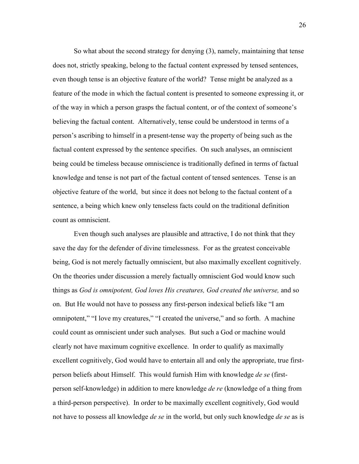So what about the second strategy for denying (3), namely, maintaining that tense does not, strictly speaking, belong to the factual content expressed by tensed sentences, even though tense is an objective feature of the world? Tense might be analyzed as a feature of the mode in which the factual content is presented to someone expressing it, or of the way in which a person grasps the factual content, or of the context of someone's believing the factual content. Alternatively, tense could be understood in terms of a person's ascribing to himself in a present-tense way the property of being such as the factual content expressed by the sentence specifies. On such analyses, an omniscient being could be timeless because omniscience is traditionally defined in terms of factual knowledge and tense is not part of the factual content of tensed sentences. Tense is an objective feature of the world, but since it does not belong to the factual content of a sentence, a being which knew only tenseless facts could on the traditional definition count as omniscient.

 Even though such analyses are plausible and attractive, I do not think that they save the day for the defender of divine timelessness. For as the greatest conceivable being, God is not merely factually omniscient, but also maximally excellent cognitively. On the theories under discussion a merely factually omniscient God would know such things as *God is omnipotent, God loves His creatures, God created the universe,* and so on. But He would not have to possess any first-person indexical beliefs like "I am omnipotent," "I love my creatures," "I created the universe," and so forth. A machine could count as omniscient under such analyses. But such a God or machine would clearly not have maximum cognitive excellence. In order to qualify as maximally excellent cognitively, God would have to entertain all and only the appropriate, true firstperson beliefs about Himself. This would furnish Him with knowledge *de se* (firstperson self-knowledge) in addition to mere knowledge *de re* (knowledge of a thing from a third-person perspective). In order to be maximally excellent cognitively, God would not have to possess all knowledge *de se* in the world, but only such knowledge *de se* as is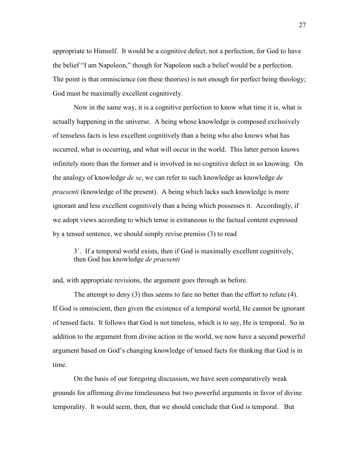appropriate to Himself. It would be a cognitive defect, not a perfection, for God to have the belief "I am Napoleon," though for Napoleon such a belief would be a perfection. The point is that omniscience (on these theories) is not enough for perfect being theology; God must be maximally excellent cognitively.

 Now in the same way, it is a cognitive perfection to know what time it is, what is actually happening in the universe. A being whose knowledge is composed exclusively of tenseless facts is less excellent cognitively than a being who also knows what has occurred, what is occurring, and what will occur in the world. This latter person knows infinitely more than the former and is involved in no cognitive defect in so knowing. On the analogy of knowledge *de se*, we can refer to such knowledge as knowledge *de praesenti* (knowledge of the present). A being which lacks such knowledge is more ignorant and less excellent cognitively than a being which possesses it. Accordingly, if we adopt views according to which tense is extraneous to the factual content expressed by a tensed sentence, we should simply revise premiss (3) to read

3´. If a temporal world exists, then if God is maximally excellent cognitively, then God has knowledge *de praesenti* 

and, with appropriate revisions, the argument goes through as before.

 The attempt to deny (3) thus seems to fare no better than the effort to refute (4). If God is omniscient, then given the existence of a temporal world, He cannot be ignorant of tensed facts. It follows that God is not timeless, which is to say, He is temporal. So in addition to the argument from divine action in the world, we now have a second powerful argument based on God's changing knowledge of tensed facts for thinking that God is in time.

On the basis of our foregoing discussion, we have seen comparatively weak grounds for affirming divine timelessness but two powerful arguments in favor of divine temporality. It would seem, then, that we should conclude that God is temporal. But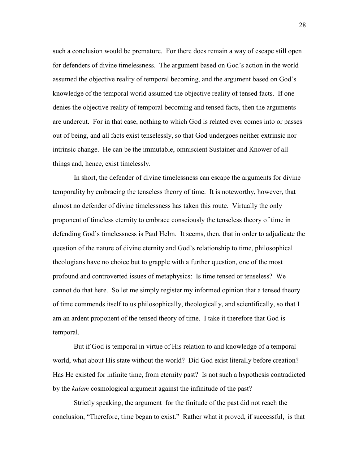such a conclusion would be premature. For there does remain a way of escape still open for defenders of divine timelessness. The argument based on God's action in the world assumed the objective reality of temporal becoming, and the argument based on God's knowledge of the temporal world assumed the objective reality of tensed facts. If one denies the objective reality of temporal becoming and tensed facts, then the arguments are undercut. For in that case, nothing to which God is related ever comes into or passes out of being, and all facts exist tenselessly, so that God undergoes neither extrinsic nor intrinsic change. He can be the immutable, omniscient Sustainer and Knower of all things and, hence, exist timelessly.

In short, the defender of divine timelessness can escape the arguments for divine temporality by embracing the tenseless theory of time. It is noteworthy, however, that almost no defender of divine timelessness has taken this route. Virtually the only proponent of timeless eternity to embrace consciously the tenseless theory of time in defending God's timelessness is Paul Helm. It seems, then, that in order to adjudicate the question of the nature of divine eternity and God's relationship to time, philosophical theologians have no choice but to grapple with a further question, one of the most profound and controverted issues of metaphysics: Is time tensed or tenseless? We cannot do that here. So let me simply register my informed opinion that a tensed theory of time commends itself to us philosophically, theologically, and scientifically, so that I am an ardent proponent of the tensed theory of time. I take it therefore that God is temporal.

But if God is temporal in virtue of His relation to and knowledge of a temporal world, what about His state without the world? Did God exist literally before creation? Has He existed for infinite time, from eternity past? Is not such a hypothesis contradicted by the *kalam* cosmological argument against the infinitude of the past?

Strictly speaking, the argument for the finitude of the past did not reach the conclusion, "Therefore, time began to exist." Rather what it proved, if successful, is that

28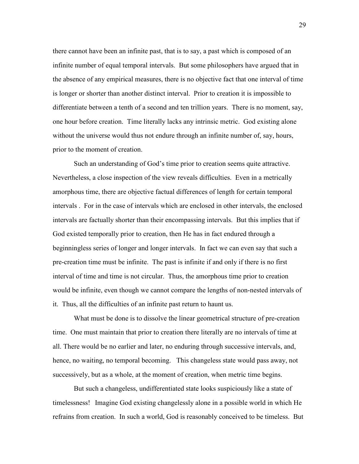there cannot have been an infinite past, that is to say, a past which is composed of an infinite number of equal temporal intervals. But some philosophers have argued that in the absence of any empirical measures, there is no objective fact that one interval of time is longer or shorter than another distinct interval. Prior to creation it is impossible to differentiate between a tenth of a second and ten trillion years. There is no moment, say, one hour before creation. Time literally lacks any intrinsic metric. God existing alone without the universe would thus not endure through an infinite number of, say, hours, prior to the moment of creation.

 Such an understanding of God's time prior to creation seems quite attractive. Nevertheless, a close inspection of the view reveals difficulties. Even in a metrically amorphous time, there are objective factual differences of length for certain temporal intervals . For in the case of intervals which are enclosed in other intervals, the enclosed intervals are factually shorter than their encompassing intervals. But this implies that if God existed temporally prior to creation, then He has in fact endured through a beginningless series of longer and longer intervals. In fact we can even say that such a pre-creation time must be infinite. The past is infinite if and only if there is no first interval of time and time is not circular. Thus, the amorphous time prior to creation would be infinite, even though we cannot compare the lengths of non-nested intervals of it. Thus, all the difficulties of an infinite past return to haunt us.

 What must be done is to dissolve the linear geometrical structure of pre-creation time. One must maintain that prior to creation there literally are no intervals of time at all. There would be no earlier and later, no enduring through successive intervals, and, hence, no waiting, no temporal becoming. This changeless state would pass away, not successively, but as a whole, at the moment of creation, when metric time begins.

But such a changeless, undifferentiated state looks suspiciously like a state of timelessness! Imagine God existing changelessly alone in a possible world in which He refrains from creation. In such a world, God is reasonably conceived to be timeless. But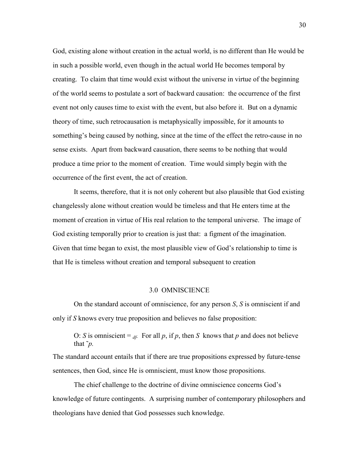God, existing alone without creation in the actual world, is no different than He would be in such a possible world, even though in the actual world He becomes temporal by creating. To claim that time would exist without the universe in virtue of the beginning of the world seems to postulate a sort of backward causation: the occurrence of the first event not only causes time to exist with the event, but also before it. But on a dynamic theory of time, such retrocausation is metaphysically impossible, for it amounts to something's being caused by nothing, since at the time of the effect the retro-cause in no sense exists. Apart from backward causation, there seems to be nothing that would produce a time prior to the moment of creation. Time would simply begin with the occurrence of the first event, the act of creation.

It seems, therefore, that it is not only coherent but also plausible that God existing changelessly alone without creation would be timeless and that He enters time at the moment of creation in virtue of His real relation to the temporal universe. The image of God existing temporally prior to creation is just that: a figment of the imagination. Given that time began to exist, the most plausible view of God's relationship to time is that He is timeless without creation and temporal subsequent to creation

## 3.0 OMNISCIENCE

 On the standard account of omniscience, for any person *S*, *S* is omniscient if and only if *S* knows every true proposition and believes no false proposition:

O: *S* is omniscient =  $_{df}$ . For all *p*, if *p*, then *S* knows that *p* and does not believe that ˜*p.* 

The standard account entails that if there are true propositions expressed by future-tense sentences, then God, since He is omniscient, must know those propositions.

 The chief challenge to the doctrine of divine omniscience concerns God's knowledge of future contingents. A surprising number of contemporary philosophers and theologians have denied that God possesses such knowledge.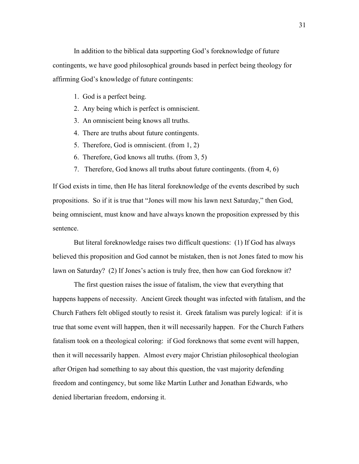In addition to the biblical data supporting God's foreknowledge of future contingents, we have good philosophical grounds based in perfect being theology for affirming God's knowledge of future contingents:

- 1. God is a perfect being.
- 2. Any being which is perfect is omniscient.
- 3. An omniscient being knows all truths.
- 4. There are truths about future contingents.
- 5. Therefore, God is omniscient. (from 1, 2)
- 6. Therefore, God knows all truths. (from 3, 5)
- 7. Therefore, God knows all truths about future contingents. (from 4, 6)

If God exists in time, then He has literal foreknowledge of the events described by such propositions. So if it is true that "Jones will mow his lawn next Saturday," then God, being omniscient, must know and have always known the proposition expressed by this sentence.

But literal foreknowledge raises two difficult questions: (1) If God has always believed this proposition and God cannot be mistaken, then is not Jones fated to mow his lawn on Saturday? (2) If Jones's action is truly free, then how can God foreknow it?

 The first question raises the issue of fatalism, the view that everything that happens happens of necessity. Ancient Greek thought was infected with fatalism, and the Church Fathers felt obliged stoutly to resist it. Greek fatalism was purely logical: if it is true that some event will happen, then it will necessarily happen. For the Church Fathers fatalism took on a theological coloring: if God foreknows that some event will happen, then it will necessarily happen. Almost every major Christian philosophical theologian after Origen had something to say about this question, the vast majority defending freedom and contingency, but some like Martin Luther and Jonathan Edwards, who denied libertarian freedom, endorsing it.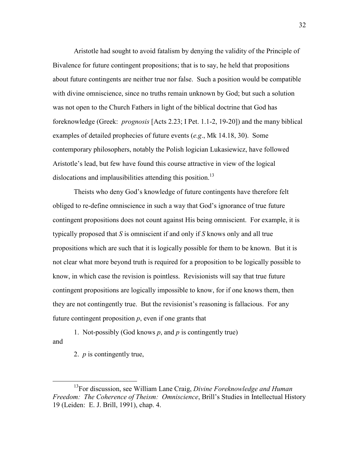Aristotle had sought to avoid fatalism by denying the validity of the Principle of Bivalence for future contingent propositions; that is to say, he held that propositions about future contingents are neither true nor false. Such a position would be compatible with divine omniscience, since no truths remain unknown by God; but such a solution was not open to the Church Fathers in light of the biblical doctrine that God has foreknowledge (Greek: *prognosis* [Acts 2.23; I Pet. 1.1-2, 19-20]) and the many biblical examples of detailed prophecies of future events (*e.g*., Mk 14.18, 30). Some contemporary philosophers, notably the Polish logician Lukasiewicz, have followed Aristotle's lead, but few have found this course attractive in view of the logical dislocations and implausibilities attending this position.<sup>13</sup>

 Theists who deny God's knowledge of future contingents have therefore felt obliged to re-define omniscience in such a way that God's ignorance of true future contingent propositions does not count against His being omniscient. For example, it is typically proposed that *S* is omniscient if and only if *S* knows only and all true propositions which are such that it is logically possible for them to be known. But it is not clear what more beyond truth is required for a proposition to be logically possible to know, in which case the revision is pointless. Revisionists will say that true future contingent propositions are logically impossible to know, for if one knows them, then they are not contingently true. But the revisionist's reasoning is fallacious. For any future contingent proposition *p*, even if one grants that

1. Not-possibly (God knows *p*, and *p* is contingently true) and

2. *p* is contingently true,

 $\overline{a}$ 

<sup>13</sup>For discussion, see William Lane Craig, *Divine Foreknowledge and Human Freedom: The Coherence of Theism: Omniscience*, Brill's Studies in Intellectual History 19 (Leiden: E. J. Brill, 1991), chap. 4.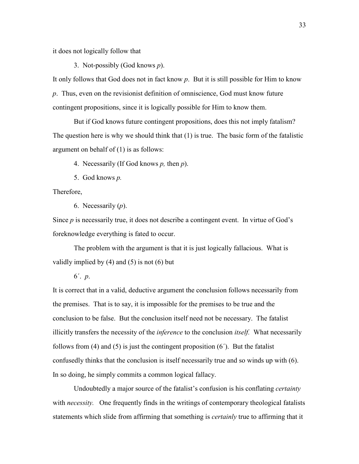it does not logically follow that

3. Not-possibly (God knows *p*).

It only follows that God does not in fact know *p*. But it is still possible for Him to know *p*. Thus, even on the revisionist definition of omniscience, God must know future contingent propositions, since it is logically possible for Him to know them.

 But if God knows future contingent propositions, does this not imply fatalism? The question here is why we should think that (1) is true. The basic form of the fatalistic argument on behalf of (1) is as follows:

4. Necessarily (If God knows *p,* then *p*).

5. God knows *p.* 

Therefore,

6. Necessarily (*p*).

Since *p* is necessarily true, it does not describe a contingent event. In virtue of God's foreknowledge everything is fated to occur.

 The problem with the argument is that it is just logically fallacious. What is validly implied by  $(4)$  and  $(5)$  is not  $(6)$  but

6´. *p*.

It is correct that in a valid, deductive argument the conclusion follows necessarily from the premises. That is to say, it is impossible for the premises to be true and the conclusion to be false. But the conclusion itself need not be necessary. The fatalist illicitly transfers the necessity of the *inference* to the conclusion *itself.* What necessarily follows from (4) and (5) is just the contingent proposition (6´). But the fatalist confusedly thinks that the conclusion is itself necessarily true and so winds up with (6). In so doing, he simply commits a common logical fallacy.

 Undoubtedly a major source of the fatalist's confusion is his conflating *certainty*  with *necessity*. One frequently finds in the writings of contemporary theological fatalists statements which slide from affirming that something is *certainly* true to affirming that it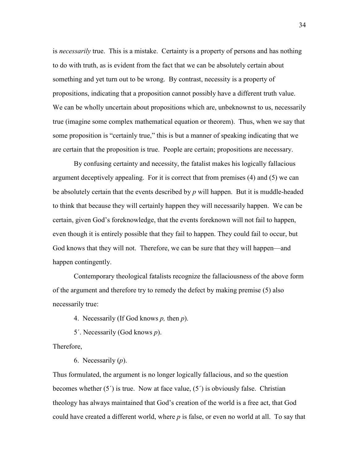is *necessarily* true. This is a mistake. Certainty is a property of persons and has nothing to do with truth, as is evident from the fact that we can be absolutely certain about something and yet turn out to be wrong. By contrast, necessity is a property of propositions, indicating that a proposition cannot possibly have a different truth value. We can be wholly uncertain about propositions which are, unbeknownst to us, necessarily true (imagine some complex mathematical equation or theorem). Thus, when we say that some proposition is "certainly true," this is but a manner of speaking indicating that we are certain that the proposition is true. People are certain; propositions are necessary.

 By confusing certainty and necessity, the fatalist makes his logically fallacious argument deceptively appealing. For it is correct that from premises (4) and (5) we can be absolutely certain that the events described by *p* will happen. But it is muddle-headed to think that because they will certainly happen they will necessarily happen. We can be certain, given God's foreknowledge, that the events foreknown will not fail to happen, even though it is entirely possible that they fail to happen. They could fail to occur, but God knows that they will not. Therefore, we can be sure that they will happen—and happen contingently.

Contemporary theological fatalists recognize the fallaciousness of the above form of the argument and therefore try to remedy the defect by making premise (5) also necessarily true:

4. Necessarily (If God knows *p,* then *p*).

5´. Necessarily (God knows *p*).

Therefore,

# 6. Necessarily (*p*).

Thus formulated, the argument is no longer logically fallacious, and so the question becomes whether  $(5')$  is true. Now at face value,  $(5')$  is obviously false. Christian theology has always maintained that God's creation of the world is a free act, that God could have created a different world, where *p* is false, or even no world at all. To say that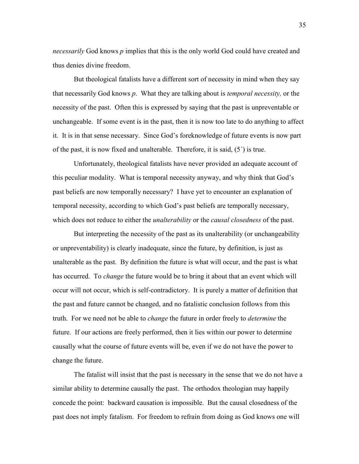*necessarily* God knows *p* implies that this is the only world God could have created and thus denies divine freedom.

 But theological fatalists have a different sort of necessity in mind when they say that necessarily God knows *p*. What they are talking about is *temporal necessity,* or the necessity of the past. Often this is expressed by saying that the past is unpreventable or unchangeable. If some event is in the past, then it is now too late to do anything to affect it. It is in that sense necessary. Since God's foreknowledge of future events is now part of the past, it is now fixed and unalterable. Therefore, it is said,  $(5')$  is true.

Unfortunately, theological fatalists have never provided an adequate account of this peculiar modality. What is temporal necessity anyway, and why think that God's past beliefs are now temporally necessary? I have yet to encounter an explanation of temporal necessity, according to which God's past beliefs are temporally necessary, which does not reduce to either the *unalterability* or the *causal closedness* of the past.

But interpreting the necessity of the past as its unalterability (or unchangeability or unpreventability) is clearly inadequate, since the future, by definition, is just as unalterable as the past. By definition the future is what will occur, and the past is what has occurred. To *change* the future would be to bring it about that an event which will occur will not occur, which is self-contradictory. It is purely a matter of definition that the past and future cannot be changed, and no fatalistic conclusion follows from this truth. For we need not be able to *change* the future in order freely to *determine* the future. If our actions are freely performed, then it lies within our power to determine causally what the course of future events will be, even if we do not have the power to change the future.

The fatalist will insist that the past is necessary in the sense that we do not have a similar ability to determine causally the past. The orthodox theologian may happily concede the point: backward causation is impossible. But the causal closedness of the past does not imply fatalism. For freedom to refrain from doing as God knows one will

35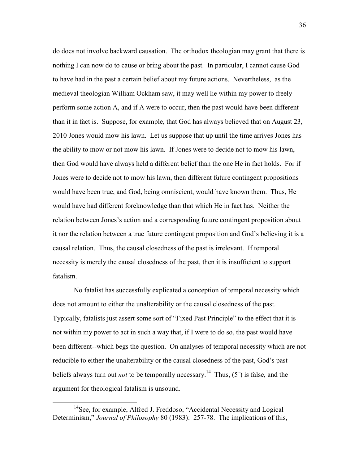do does not involve backward causation. The orthodox theologian may grant that there is nothing I can now do to cause or bring about the past. In particular, I cannot cause God to have had in the past a certain belief about my future actions. Nevertheless, as the medieval theologian William Ockham saw, it may well lie within my power to freely perform some action A, and if A were to occur, then the past would have been different than it in fact is. Suppose, for example, that God has always believed that on August 23, 2010 Jones would mow his lawn. Let us suppose that up until the time arrives Jones has the ability to mow or not mow his lawn. If Jones were to decide not to mow his lawn, then God would have always held a different belief than the one He in fact holds. For if Jones were to decide not to mow his lawn, then different future contingent propositions would have been true, and God, being omniscient, would have known them. Thus, He would have had different foreknowledge than that which He in fact has. Neither the relation between Jones's action and a corresponding future contingent proposition about it nor the relation between a true future contingent proposition and God's believing it is a causal relation. Thus, the causal closedness of the past is irrelevant. If temporal necessity is merely the causal closedness of the past, then it is insufficient to support fatalism.

No fatalist has successfully explicated a conception of temporal necessity which does not amount to either the unalterability or the causal closedness of the past. Typically, fatalists just assert some sort of "Fixed Past Principle" to the effect that it is not within my power to act in such a way that, if I were to do so, the past would have been different--which begs the question. On analyses of temporal necessity which are not reducible to either the unalterability or the causal closedness of the past, God's past beliefs always turn out *not* to be temporally necessary.<sup>14</sup> Thus, (5<sup>'</sup>) is false, and the argument for theological fatalism is unsound.

l

<sup>&</sup>lt;sup>14</sup>See, for example, Alfred J. Freddoso, "Accidental Necessity and Logical Determinism," *Journal of Philosophy* 80 (1983): 257-78. The implications of this,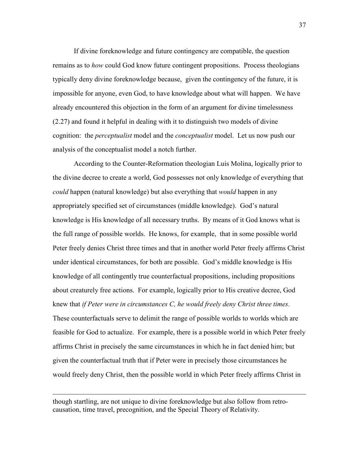If divine foreknowledge and future contingency are compatible, the question remains as to *how* could God know future contingent propositions. Process theologians typically deny divine foreknowledge because, given the contingency of the future, it is impossible for anyone, even God, to have knowledge about what will happen. We have already encountered this objection in the form of an argument for divine timelessness (2.27) and found it helpful in dealing with it to distinguish two models of divine cognition: the *perceptualist* model and the *conceptualist* model. Let us now push our analysis of the conceptualist model a notch further.

According to the Counter-Reformation theologian Luis Molina, logically prior to the divine decree to create a world, God possesses not only knowledge of everything that *could* happen (natural knowledge) but also everything that *would* happen in any appropriately specified set of circumstances (middle knowledge). God's natural knowledge is His knowledge of all necessary truths. By means of it God knows what is the full range of possible worlds. He knows, for example, that in some possible world Peter freely denies Christ three times and that in another world Peter freely affirms Christ under identical circumstances, for both are possible. God's middle knowledge is His knowledge of all contingently true counterfactual propositions, including propositions about creaturely free actions. For example, logically prior to His creative decree, God knew that *if Peter were in circumstances C, he would freely deny Christ three times*. These counterfactuals serve to delimit the range of possible worlds to worlds which are feasible for God to actualize. For example, there is a possible world in which Peter freely affirms Christ in precisely the same circumstances in which he in fact denied him; but given the counterfactual truth that if Peter were in precisely those circumstances he would freely deny Christ, then the possible world in which Peter freely affirms Christ in

though startling, are not unique to divine foreknowledge but also follow from retrocausation, time travel, precognition, and the Special Theory of Relativity.

 $\overline{a}$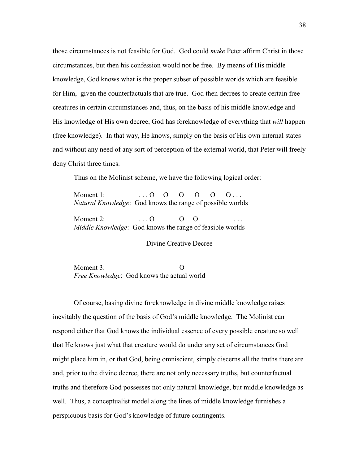those circumstances is not feasible for God. God could *make* Peter affirm Christ in those circumstances, but then his confession would not be free. By means of His middle knowledge, God knows what is the proper subset of possible worlds which are feasible for Him, given the counterfactuals that are true. God then decrees to create certain free creatures in certain circumstances and, thus, on the basis of his middle knowledge and His knowledge of His own decree, God has foreknowledge of everything that *will* happen (free knowledge). In that way, He knows, simply on the basis of His own internal states and without any need of any sort of perception of the external world, that Peter will freely deny Christ three times.

Thus on the Molinist scheme, we have the following logical order:

 $\_$  , and the contribution of the contribution of  $\mathcal{L}_\mathcal{A}$ 

Moment 3: 0 *Free Knowledge*: God knows the actual world

 Of course, basing divine foreknowledge in divine middle knowledge raises inevitably the question of the basis of God's middle knowledge. The Molinist can respond either that God knows the individual essence of every possible creature so well that He knows just what that creature would do under any set of circumstances God might place him in, or that God, being omniscient, simply discerns all the truths there are and, prior to the divine decree, there are not only necessary truths, but counterfactual truths and therefore God possesses not only natural knowledge, but middle knowledge as well. Thus, a conceptualist model along the lines of middle knowledge furnishes a perspicuous basis for God's knowledge of future contingents.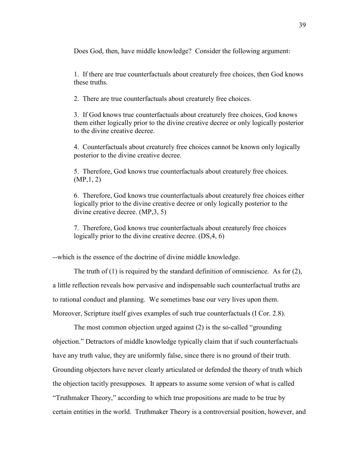Does God, then, have middle knowledge? Consider the following argument:

1. If there are true counterfactuals about creaturely free choices, then God knows these truths.

2. There are true counterfactuals about creaturely free choices.

3. If God knows true counterfactuals about creaturely free choices, God knows them either logically prior to the divine creative decree or only logically posterior to the divine creative decree.

4. Counterfactuals about creaturely free choices cannot be known only logically posterior to the divine creative decree.

5. Therefore, God knows true counterfactuals about creaturely free choices.  $(MP,1, 2)$ 

6. Therefore, God knows true counterfactuals about creaturely free choices either logically prior to the divine creative decree or only logically posterior to the divine creative decree. (MP,3, 5)

7. Therefore, God knows true counterfactuals about creaturely free choices logically prior to the divine creative decree. (DS,4, 6)

--which is the essence of the doctrine of divine middle knowledge.

The truth of (1) is required by the standard definition of omniscience. As for (2), a little reflection reveals how pervasive and indispensable such counterfactual truths are to rational conduct and planning. We sometimes base our very lives upon them. Moreover, Scripture itself gives examples of such true counterfactuals (I Cor. 2.8).

The most common objection urged against (2) is the so-called "grounding objection." Detractors of middle knowledge typically claim that if such counterfactuals have any truth value, they are uniformly false, since there is no ground of their truth. Grounding objectors have never clearly articulated or defended the theory of truth which the objection tacitly presupposes. It appears to assume some version of what is called "Truthmaker Theory," according to which true propositions are made to be true by certain entities in the world. Truthmaker Theory is a controversial position, however, and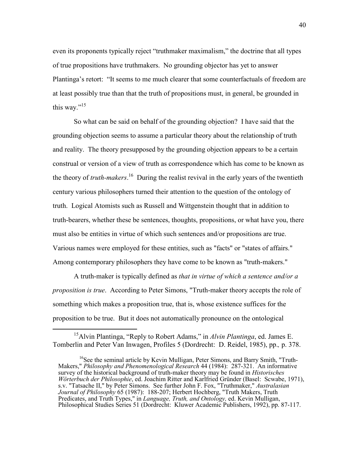even its proponents typically reject "truthmaker maximalism," the doctrine that all types of true propositions have truthmakers. No grounding objector has yet to answer Plantinga's retort: "It seems to me much clearer that some counterfactuals of freedom are at least possibly true than that the truth of propositions must, in general, be grounded in this way."<sup>15</sup>

So what can be said on behalf of the grounding objection? I have said that the grounding objection seems to assume a particular theory about the relationship of truth and reality. The theory presupposed by the grounding objection appears to be a certain construal or version of a view of truth as correspondence which has come to be known as the theory of *truth-makers*. <sup>16</sup> During the realist revival in the early years of the twentieth century various philosophers turned their attention to the question of the ontology of truth. Logical Atomists such as Russell and Wittgenstein thought that in addition to truth-bearers, whether these be sentences, thoughts, propositions, or what have you, there must also be entities in virtue of which such sentences and/or propositions are true. Various names were employed for these entities, such as "facts" or "states of affairs." Among contemporary philosophers they have come to be known as "truth-makers."

 A truth-maker is typically defined as *that in virtue of which a sentence and/or a proposition is true*.According to Peter Simons, "Truth-maker theory accepts the role of something which makes a proposition true, that is, whose existence suffices for the proposition to be true. But it does not automatically pronounce on the ontological

 $\overline{a}$ 

<sup>15</sup>Alvin Plantinga, "Reply to Robert Adams," in *Alvin Plantinga*, ed. James E. Tomberlin and Peter Van Inwagen, Profiles 5 (Dordrecht: D. Reidel, 1985), pp.*,* p. 378.

<sup>&</sup>lt;sup>16</sup>See the seminal article by Kevin Mulligan, Peter Simons, and Barry Smith, "Truth-Makers," *Philosophy and Phenomenological Research* 44 (1984): 287-321. An informative survey of the historical background of truth-maker theory may be found in *Historisches Wörterbuch der Philosophie*, ed. Joachim Ritter and Karlfried Gründer (Basel: Scwabe, 1971), s.v. "Tatsache II," by Peter Simons. See further John F. Fox, "Truthmaker," *Australasian Journal of Philosophy* 65 (1987): 188-207; Herbert Hochberg, "Truth Makers, Truth Predicates, and Truth Types," in *Language, Truth, and Ontology,* ed. Kevin Mulligan, Philosophical Studies Series 51 (Dordrecht: Kluwer Academic Publishers, 1992), pp. 87-117.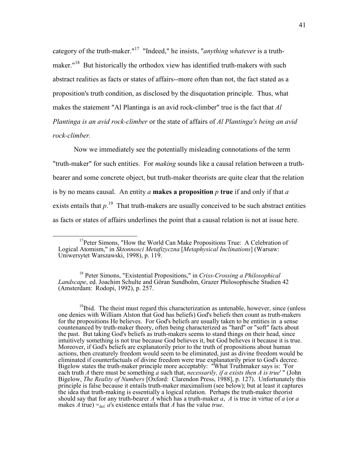category of the truth-maker."<sup>17</sup> "Indeed," he insists, "*anything whatever* is a truthmaker. $18$  But historically the orthodox view has identified truth-makers with such abstract realities as facts or states of affairs--more often than not, the fact stated as a proposition's truth condition, as disclosed by the disquotation principle. Thus, what makes the statement "Al Plantinga is an avid rock-climber" true is the fact that *Al Plantinga is an avid rock-climber* or the state of affairs of *Al Plantinga's being an avid rock-climber.*

Now we immediately see the potentially misleading connotations of the term "truth-maker" for such entities. For *making* sounds like a causal relation between a truthbearer and some concrete object, but truth-maker theorists are quite clear that the relation is by no means causal. An entity *a* **makes a proposition** *p* **true** if and only if that *a* exists entails that  $p$ <sup>19</sup>. That truth-makers are usually conceived to be such abstract entities as facts or states of affairs underlines the point that a causal relation is not at issue here.

-

 $19$ Ibid. The theist must regard this characterization as untenable, however, since (unless one denies with William Alston that God has beliefs) God's beliefs then count as truth-makers for the propositions He believes. For God's beliefs are usually taken to be entities in a sense countenanced by truth-maker theory, often being characterized as "hard" or "soft" facts about the past. But taking God's beliefs as truth-makers seems to stand things on their head, since intuitively something is not true because God believes it, but God believes it because it is true. Moreover, if God's beliefs are explanatorily prior to the truth of propositions about human actions, then creaturely freedom would seem to be eliminated, just as divine freedom would be eliminated if counterfactuals of divine freedom were true explanatorily prior to God's decree. Bigelow states the truth-maker principle more acceptably: "What Truthmaker says is: 'For each truth *A* there must be something *a* such that, *necessarily, if a exists then A is true*' " (John Bigelow, *The Reality of Numbers* [Oxford: Clarendon Press, 1988], p. 127). Unfortunately this principle is false because it entails truth-maker maximalism (see below); but at least it captures the idea that truth-making is essentially a logical relation. Perhaps the truth-maker theorist should say that for any truth-bearer *A* which has a truth-maker  $\vec{a}$ ,  $\vec{A}$  is true in virtue of  $\vec{a}$  (or  $\vec{a}$ makes *A* true)  $=_{def} a$ 's existence entails that *A* has the value *true*.

 $17$ Peter Simons, "How the World Can Make Propositions True: A Celebration of Logical Atomism," in *Sktonnosci Metafizyczna* [*Metaphysical Inclinations*] (Warsaw: Uniwersytet Warszawski, 1998), p. 119.

<sup>18</sup> Peter Simons, "Existential Propositions," in *Criss-Crossing a Philosophical Landscape*, ed. Joachim Schulte and Göran Sundholm, Grazer Philosophische Studien 42 (Amsterdam: Rodopi, 1992), p. 257.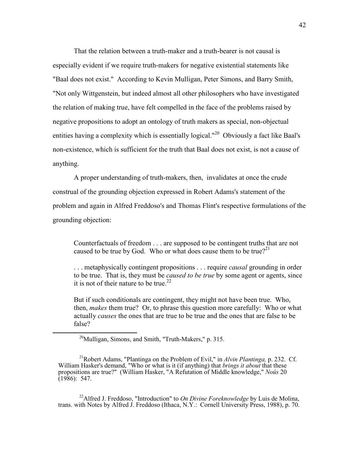That the relation between a truth-maker and a truth-bearer is not causal is especially evident if we require truth-makers for negative existential statements like "Baal does not exist." According to Kevin Mulligan, Peter Simons, and Barry Smith, "Not only Wittgenstein, but indeed almost all other philosophers who have investigated the relation of making true, have felt compelled in the face of the problems raised by negative propositions to adopt an ontology of truth makers as special, non-objectual entities having a complexity which is essentially logical."<sup>20</sup> Obviously a fact like Baal's non-existence, which is sufficient for the truth that Baal does not exist, is not a cause of anything.

A proper understanding of truth-makers, then, invalidates at once the crude construal of the grounding objection expressed in Robert Adams's statement of the problem and again in Alfred Freddoso's and Thomas Flint's respective formulations of the grounding objection:

Counterfactuals of freedom . . . are supposed to be contingent truths that are not caused to be true by God. Who or what does cause them to be true?<sup>21</sup>

. . . metaphysically contingent propositions . . . require *causal* grounding in order to be true. That is, they must be *caused to be true* by some agent or agents, since it is not of their nature to be true.<sup>22</sup>

But if such conditionals are contingent, they might not have been true. Who, then, *makes* them true? Or, to phrase this question more carefully: Who or what actually *causes* the ones that are true to be true and the ones that are false to be false?

 $^{20}$ Mulligan, Simons, and Smith, "Truth-Makers," p. 315.

 $\overline{a}$ 

<sup>21</sup>Robert Adams, "Plantinga on the Problem of Evil," in *Alvin Plantinga,* p. 232. Cf. William Hasker's demand, "Who or what is it (if anything) that *brings it about* that these propositions are true?" (William Hasker, "A Refutation of Middle knowledge," *Noûs* 20  $(1986): 547.$ 

<sup>22</sup>Alfred J. Freddoso, "Introduction" to *On Divine Foreknowledge* by Luis de Molina, trans. with Notes by Alfred J. Freddoso (Ithaca, N.Y.: Cornell University Press, 1988), p. 70.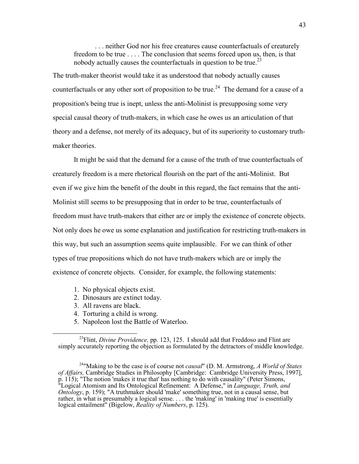. . . neither God nor his free creatures cause counterfactuals of creaturely freedom to be true . . . . The conclusion that seems forced upon us, then, is that nobody actually causes the counterfactuals in question to be true.<sup>23</sup>

The truth-maker theorist would take it as understood that nobody actually causes counterfactuals or any other sort of proposition to be true.<sup>24</sup> The demand for a cause of a proposition's being true is inept, unless the anti-Molinist is presupposing some very special causal theory of truth-makers, in which case he owes us an articulation of that theory and a defense, not merely of its adequacy, but of its superiority to customary truthmaker theories.

 It might be said that the demand for a cause of the truth of true counterfactuals of creaturely freedom is a mere rhetorical flourish on the part of the anti-Molinist. But even if we give him the benefit of the doubt in this regard, the fact remains that the anti-Molinist still seems to be presupposing that in order to be true, counterfactuals of freedom must have truth-makers that either are or imply the existence of concrete objects. Not only does he owe us some explanation and justification for restricting truth-makers in this way, but such an assumption seems quite implausible. For we can think of other types of true propositions which do not have truth-makers which are or imply the existence of concrete objects. Consider, for example, the following statements:

- 1. No physical objects exist.
- 2. Dinosaurs are extinct today.
- 3. All ravens are black.

l

- 4. Torturing a child is wrong.
- 5. Napoleon lost the Battle of Waterloo.

<sup>23</sup>Flint, *Divine Providence,* pp. 123, 125. I should add that Freddoso and Flint are simply accurately reporting the objection as formulated by the detractors of middle knowledge.

<sup>24</sup>"Making to be the case is of course not *causal*" (D. M. Armstrong, *A World of States of Affairs,* Cambridge Studies in Philosophy [Cambridge: Cambridge University Press, 1997], p. 115); "The notion 'makes it true that' has nothing to do with causality" (Peter Simons, "Logical Atomism and Its Ontological Refinement: A Defense," in *Language, Truth, and Ontology*, p. 159); "A truthmaker should 'make' something true, not in a causal sense, but rather, in what is presumably a logical sense. . . . the 'making' in 'making true' is essentially logical entailment" (Bigelow, *Reality of Numbers*, p. 125).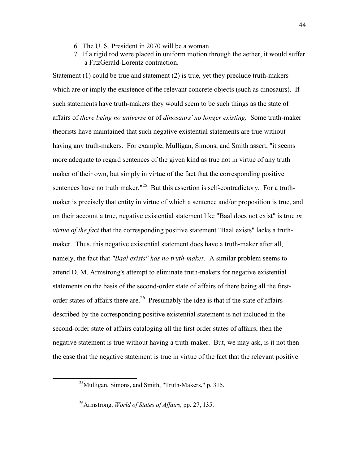- 6. The U. S. President in 2070 will be a woman.
- 7. If a rigid rod were placed in uniform motion through the aether, it would suffer a FitzGerald-Lorentz contraction.

Statement (1) could be true and statement (2) is true, yet they preclude truth-makers which are or imply the existence of the relevant concrete objects (such as dinosaurs). If such statements have truth-makers they would seem to be such things as the state of affairs of *there being no universe* or of *dinosaurs' no longer existing.* Some truth-maker theorists have maintained that such negative existential statements are true without having any truth-makers. For example, Mulligan, Simons, and Smith assert, "it seems more adequate to regard sentences of the given kind as true not in virtue of any truth maker of their own, but simply in virtue of the fact that the corresponding positive sentences have no truth maker."<sup>25</sup> But this assertion is self-contradictory. For a truthmaker is precisely that entity in virtue of which a sentence and/or proposition is true, and on their account a true, negative existential statement like "Baal does not exist" is true *in virtue of the fact* that the corresponding positive statement "Baal exists" lacks a truthmaker. Thus, this negative existential statement does have a truth-maker after all, namely, the fact that *"Baal exists" has no truth-maker.* A similar problem seems to attend D. M. Armstrong's attempt to eliminate truth-makers for negative existential statements on the basis of the second-order state of affairs of there being all the firstorder states of affairs there are.<sup>26</sup> Presumably the idea is that if the state of affairs described by the corresponding positive existential statement is not included in the second-order state of affairs cataloging all the first order states of affairs, then the negative statement is true without having a truth-maker. But, we may ask, is it not then the case that the negative statement is true in virtue of the fact that the relevant positive

 $\overline{a}$ 

 $^{25}$ Mulligan, Simons, and Smith, "Truth-Makers," p. 315.

<sup>26</sup>Armstrong, *World of States of Affairs,* pp. 27, 135.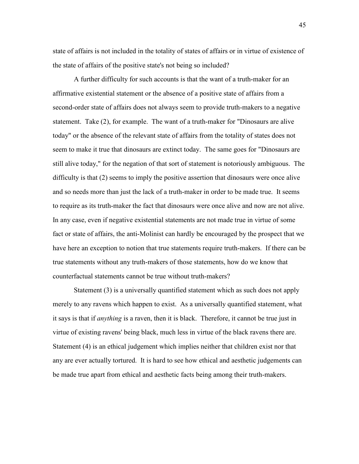state of affairs is not included in the totality of states of affairs or in virtue of existence of the state of affairs of the positive state's not being so included?

 A further difficulty for such accounts is that the want of a truth-maker for an affirmative existential statement or the absence of a positive state of affairs from a second-order state of affairs does not always seem to provide truth-makers to a negative statement. Take (2), for example. The want of a truth-maker for "Dinosaurs are alive today" or the absence of the relevant state of affairs from the totality of states does not seem to make it true that dinosaurs are extinct today. The same goes for "Dinosaurs are still alive today," for the negation of that sort of statement is notoriously ambiguous. The difficulty is that (2) seems to imply the positive assertion that dinosaurs were once alive and so needs more than just the lack of a truth-maker in order to be made true. It seems to require as its truth-maker the fact that dinosaurs were once alive and now are not alive. In any case, even if negative existential statements are not made true in virtue of some fact or state of affairs, the anti-Molinist can hardly be encouraged by the prospect that we have here an exception to notion that true statements require truth-makers. If there can be true statements without any truth-makers of those statements, how do we know that counterfactual statements cannot be true without truth-makers?

Statement (3) is a universally quantified statement which as such does not apply merely to any ravens which happen to exist. As a universally quantified statement, what it says is that if *anything* is a raven, then it is black. Therefore, it cannot be true just in virtue of existing ravens' being black, much less in virtue of the black ravens there are. Statement (4) is an ethical judgement which implies neither that children exist nor that any are ever actually tortured. It is hard to see how ethical and aesthetic judgements can be made true apart from ethical and aesthetic facts being among their truth-makers.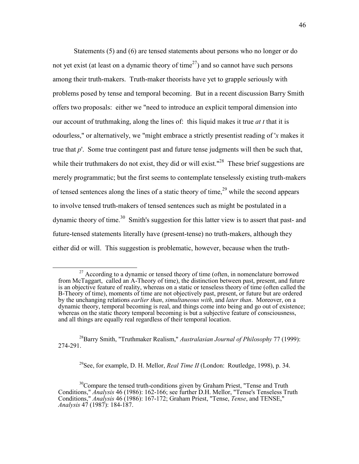Statements (5) and (6) are tensed statements about persons who no longer or do not yet exist (at least on a dynamic theory of time<sup>27</sup>) and so cannot have such persons among their truth-makers. Truth-maker theorists have yet to grapple seriously with problems posed by tense and temporal becoming. But in a recent discussion Barry Smith offers two proposals: either we "need to introduce an explicit temporal dimension into our account of truthmaking, along the lines of: this liquid makes it true *at t* that it is odourless," or alternatively, we "might embrace a strictly presentist reading of '*x* makes it true that *p*'. Some true contingent past and future tense judgments will then be such that, while their truthmakers do not exist, they did or will exist."<sup>28</sup> These brief suggestions are merely programmatic; but the first seems to contemplate tenselessly existing truth-makers of tensed sentences along the lines of a static theory of time,  $2<sup>9</sup>$  while the second appears to involve tensed truth-makers of tensed sentences such as might be postulated in a dynamic theory of time.<sup>30</sup> Smith's suggestion for this latter view is to assert that past- and future-tensed statements literally have (present-tense) no truth-makers, although they either did or will. This suggestion is problematic, however, because when the truth-

 $\overline{a}$ 

<sup>28</sup>Barry Smith, "Truthmaker Realism," *Australasian Journal of Philosophy* 77 (1999): 274-291.

<sup>29</sup>See, for example, D. H. Mellor, *Real Time II* (London: Routledge, 1998), p. 34.

 $27$  According to a dynamic or tensed theory of time (often, in nomenclature borrowed from McTaggart, called an A-Theory of time), the distinction between past, present, and future is an objective feature of reality, whereas on a static or tenseless theory of time (often called the B-Theory of time), moments of time are not objectively past, present, or future but are ordered by the unchanging relations *earlier than*, *simultaneous with*, and *later than*. Moreover, on a dynamic theory, temporal becoming is real, and things come into being and go out of existence; whereas on the static theory temporal becoming is but a subjective feature of consciousness, and all things are equally real regardless of their temporal location.

 $30^{\circ}$ Compare the tensed truth-conditions given by Graham Priest, "Tense and Truth Conditions," *Analysis* 46 (1986): 162-166; see further D.H. Mellor, "Tense's Tenseless Truth Conditions," *Analysis* 46 (1986): 167-172; Graham Priest, "Tense, *Tense*, and TENSE," *Analysis* 47 (1987): 184-187.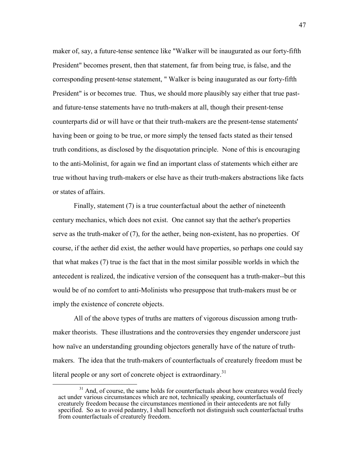maker of, say, a future-tense sentence like "Walker will be inaugurated as our forty-fifth President" becomes present, then that statement, far from being true, is false, and the corresponding present-tense statement, " Walker is being inaugurated as our forty-fifth President" is or becomes true. Thus, we should more plausibly say either that true pastand future-tense statements have no truth-makers at all, though their present-tense counterparts did or will have or that their truth-makers are the present-tense statements' having been or going to be true, or more simply the tensed facts stated as their tensed truth conditions, as disclosed by the disquotation principle. None of this is encouraging to the anti-Molinist, for again we find an important class of statements which either are true without having truth-makers or else have as their truth-makers abstractions like facts or states of affairs.

 Finally, statement (7) is a true counterfactual about the aether of nineteenth century mechanics, which does not exist. One cannot say that the aether's properties serve as the truth-maker of  $(7)$ , for the aether, being non-existent, has no properties. Of course, if the aether did exist, the aether would have properties, so perhaps one could say that what makes (7) true is the fact that in the most similar possible worlds in which the antecedent is realized, the indicative version of the consequent has a truth-maker--but this would be of no comfort to anti-Molinists who presuppose that truth-makers must be or imply the existence of concrete objects.

 All of the above types of truths are matters of vigorous discussion among truthmaker theorists. These illustrations and the controversies they engender underscore just how naïve an understanding grounding objectors generally have of the nature of truthmakers. The idea that the truth-makers of counterfactuals of creaturely freedom must be literal people or any sort of concrete object is extraordinary.<sup>31</sup>

-

<sup>&</sup>lt;sup>31</sup> And, of course, the same holds for counterfactuals about how creatures would freely act under various circumstances which are not, technically speaking, counterfactuals of creaturely freedom because the circumstances mentioned in their antecedents are not fully specified. So as to avoid pedantry, I shall henceforth not distinguish such counterfactual truths from counterfactuals of creaturely freedom.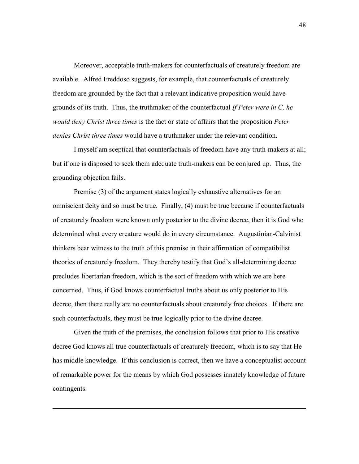Moreover, acceptable truth-makers for counterfactuals of creaturely freedom are available. Alfred Freddoso suggests, for example, that counterfactuals of creaturely freedom are grounded by the fact that a relevant indicative proposition would have grounds of its truth. Thus, the truthmaker of the counterfactual *If Peter were in C, he would deny Christ three times* is the fact or state of affairs that the proposition *Peter denies Christ three times* would have a truthmaker under the relevant condition.

I myself am sceptical that counterfactuals of freedom have any truth-makers at all; but if one is disposed to seek them adequate truth-makers can be conjured up. Thus, the grounding objection fails.

Premise (3) of the argument states logically exhaustive alternatives for an omniscient deity and so must be true. Finally, (4) must be true because if counterfactuals of creaturely freedom were known only posterior to the divine decree, then it is God who determined what every creature would do in every circumstance. Augustinian-Calvinist thinkers bear witness to the truth of this premise in their affirmation of compatibilist theories of creaturely freedom. They thereby testify that God's all-determining decree precludes libertarian freedom, which is the sort of freedom with which we are here concerned. Thus, if God knows counterfactual truths about us only posterior to His decree, then there really are no counterfactuals about creaturely free choices. If there are such counterfactuals, they must be true logically prior to the divine decree.

Given the truth of the premises, the conclusion follows that prior to His creative decree God knows all true counterfactuals of creaturely freedom, which is to say that He has middle knowledge. If this conclusion is correct, then we have a conceptualist account of remarkable power for the means by which God possesses innately knowledge of future contingents.

 $\overline{a}$ 

48